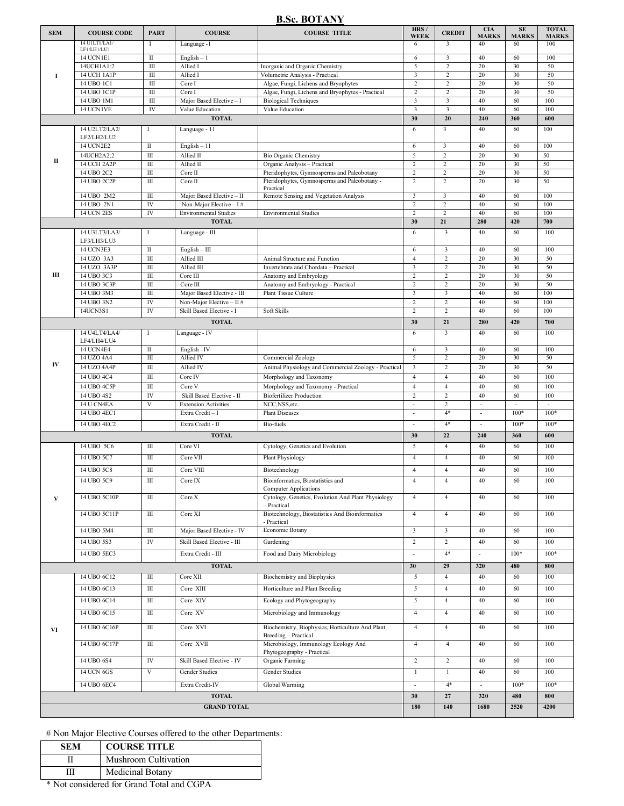### **B.Sc. BOTANY**

| <b>SEM</b>         | <b>COURSE CODE</b>           | <b>PART</b>                 | <b>COURSE</b>                                         | <b>COURSE TITLE</b>                                                      | HRS /<br><b>WEEK</b>                      | <b>CREDIT</b>            | <b>CIA</b><br><b>MARKS</b> | <b>SE</b><br><b>MARKS</b> | <b>TOTAL</b><br><b>MARKS</b> |
|--------------------|------------------------------|-----------------------------|-------------------------------------------------------|--------------------------------------------------------------------------|-------------------------------------------|--------------------------|----------------------------|---------------------------|------------------------------|
|                    | 14 UILTI/LA1/                | I                           | Language -1                                           |                                                                          | 6                                         | $\overline{3}$           | 40                         | 60                        | 100                          |
|                    | LF1/LH1/LU1<br>14 UCN 1E1    | $\mathbf{I}$                |                                                       |                                                                          |                                           | $\overline{3}$           | 40                         | 60                        | 100                          |
|                    | 14UCH1A1:2                   | Ш                           | $English - 1$<br>Allied I                             | Inorganic and Organic Chemistry                                          | 6<br>5                                    | $\sqrt{2}$               | 20                         | 30                        | 50                           |
| I                  | 14 UCH 1A1P                  | $\overline{\rm III}$        | Allied I                                              | Volumetric Analysis - Practical                                          | 3                                         | $\overline{2}$           | 20                         | 30                        | 50                           |
|                    | 14 UBO 1C1                   | Ш                           | Core I                                                | Algae, Fungi, Lichens and Bryophytes                                     | $\sqrt{2}$                                | $\overline{c}$           | 20                         | 30                        | 50                           |
|                    | 14 UBO 1C1P                  | $\rm III$                   | Core I                                                | Algae, Fungi, Lichens and Bryophytes - Practical                         | $\overline{2}$                            | $\overline{2}$           | 20                         | 30                        | 50                           |
|                    | 14 UBO 1M1                   | Ш                           | Major Based Elective - I                              | <b>Biological Techniques</b>                                             | 3                                         | 3                        | 40                         | 60                        | 100                          |
|                    | 14 UCN1VE                    | IV                          | Value Education                                       | Value Education                                                          | $\overline{\mathbf{3}}$                   | $\overline{\mathbf{3}}$  | 40                         | 60                        | 100                          |
|                    |                              |                             | <b>TOTAL</b>                                          |                                                                          | 30                                        | 20                       | 240                        | 360                       | 600                          |
|                    | 14 U2LT2/LA2/<br>LF2/LH2/LU2 | $\bf{I}$                    | Language - 11                                         |                                                                          | 6                                         | 3                        | 40                         | 60                        | 100                          |
|                    | 14 UCN2E2                    | $\mathbf{I}$                | $English - 11$                                        |                                                                          | 6                                         | $\overline{\mathbf{3}}$  | 40                         | 60                        | 100                          |
|                    | 14UCH2A2:2                   | Ш                           | Allied II                                             | <b>Bio Organic Chemistry</b>                                             | 5                                         | $\overline{2}$           | 20                         | 30                        | 50                           |
| П                  | <b>14 UCH 2A2P</b>           | III                         | Allied II                                             | Organic Analysis - Practical                                             | $\overline{c}$                            | $\sqrt{2}$               | 20                         | 30                        | 50                           |
|                    | 14 UBO 2C2                   | $\overline{III}$            | Core II                                               | Pteridophytes, Gymnosperms and Paleobotany                               | $\overline{2}$                            | $\overline{c}$           | 20                         | 30                        | 50                           |
|                    | 14 UBO 2C2P                  | Ш                           | Core II                                               | Pteridophytes, Gymnosperms and Paleobotany -<br>Practical                | $\overline{2}$                            | $\overline{2}$           | 20                         | 30                        | 50                           |
|                    | 14 UBO 2M2<br>14 UBO 2N1     | Ш<br>IV                     | Major Based Elective - II<br>Non-Major Elective $-1#$ | Remote Sensing and Vegetation Analysis                                   | $\overline{\mathbf{3}}$<br>$\overline{2}$ | 3<br>$\overline{c}$      | 40<br>40                   | 60<br>60                  | 100<br>100                   |
|                    | <b>14 UCN 2ES</b>            | IV                          | <b>Environmental Studies</b>                          | <b>Environmental Studies</b>                                             | $\overline{c}$                            | $\overline{2}$           | 40                         | 60                        | 100                          |
|                    |                              |                             | <b>TOTAL</b>                                          |                                                                          | 30                                        | 21                       | 280                        | 420                       | 700                          |
|                    | 14 U3LT3/LA3/                | -1                          | Language - III                                        |                                                                          | 6                                         | 3                        | 40                         | 60                        | 100                          |
|                    | LF3/LH3/LU3                  |                             |                                                       |                                                                          |                                           |                          |                            |                           |                              |
|                    | 14 UCN3E3                    | $\rm{II}$<br>$\mathbf{III}$ | $English - III$                                       |                                                                          | 6                                         | $\mathbf{3}$             | 40<br>20                   | 60                        | 100<br>50                    |
|                    | 14 UZO 3A3<br>14 UZO 3A3P    | $\rm III$                   | Allied III<br>Allied III                              | Animal Structure and Function<br>Invertebrata and Chordata - Practical   | $\overline{4}$<br>$\overline{\mathbf{3}}$ | $\sqrt{2}$<br>$\sqrt{2}$ | 20                         | 30<br>30                  | 50                           |
| Ш                  | 14 UBO 3C3                   | Ш                           | Core III                                              | Anatomy and Embryology                                                   | $\overline{2}$                            | $\overline{2}$           | 20                         | 30                        | 50                           |
|                    | 14 UBO 3C3P                  | Ш                           | Core III                                              | Anatomy and Embryology - Practical                                       | 2                                         | $\overline{c}$           | 20                         | 30                        | 50                           |
|                    | 14 UBO 3M3                   | $\rm III$                   | Major Based Elective - III                            | <b>Plant Tissue Culture</b>                                              | $\overline{\mathbf{3}}$                   | $\overline{3}$           | 40                         | 60                        | 100                          |
|                    | 14 UBO 3N2                   | IV                          | Non-Major Elective - II#                              |                                                                          | $\overline{2}$                            | $\overline{2}$           | 40                         | 60                        | 100                          |
|                    | 14UCN3S1                     | IV                          | Skill Based Elective - I                              | Soft Skills                                                              | $\overline{2}$                            | $\overline{c}$           | 40                         | 60                        | 100                          |
|                    |                              |                             | <b>TOTAL</b>                                          |                                                                          | 30                                        | 21                       | 280                        | 420                       | 700                          |
|                    | 14 U4LT4/LA4/<br>LF4/LH4/LU4 | Ι.                          | Language - IV                                         |                                                                          | 6                                         | 3                        | 40                         | 60                        | 100                          |
|                    | 14 UCN 4E4                   | $\mathbf{I}$                | English-IV                                            |                                                                          | 6                                         | $\overline{\mathbf{3}}$  | 40                         | 60                        | 100                          |
|                    | 14 UZO 4A4                   | Ш                           | Allied IV                                             | Commercial Zoology                                                       | 5                                         | $\overline{c}$           | 20                         | 30                        | 50                           |
| IV                 | 14 UZO 4A4P                  | III                         | Allied IV                                             | Animal Physiology and Commercial Zoology - Practical                     | $\overline{\mathbf{3}}$                   | 2                        | 20                         | 30                        | 50                           |
|                    | 14 UBO 4C4                   | Ш                           | Core IV                                               | Morphology and Taxonomy                                                  | $\overline{4}$                            | $\overline{4}$           | 40                         | 60                        | 100                          |
|                    | 14 UBO 4C5P                  | $\overline{III}$            | Core V                                                | Morphology and Taxonomy - Practical                                      | $\overline{4}$                            | $\overline{4}$           | 40                         | 60                        | 100                          |
|                    | 14 UBO 4S2                   | IV                          | Skill Based Elective - II                             | <b>Biofertilizer Production</b>                                          | $\overline{2}$                            | $\sqrt{2}$               | 40                         | 60                        | 100                          |
|                    | 14 U CN4EA                   | V                           | <b>Extension Activities</b>                           | NCC,NSS,etc.                                                             | $\overline{\phantom{a}}$                  | $\sqrt{2}$               |                            |                           |                              |
|                    | 14 UBO 4EC1                  |                             | Extra Credit-I                                        | <b>Plant Diseases</b>                                                    | $\overline{a}$                            | $4*$                     |                            | $100*$                    | $100*$                       |
|                    | 14 UBO 4EC2                  |                             | Extra Credit - II                                     | Bio-fuels                                                                | ÷                                         | $4*$                     |                            | $100*$                    | $100*$                       |
|                    | <b>TOTAL</b>                 |                             |                                                       |                                                                          | 30                                        | 22                       | 240                        | 360                       | 600                          |
|                    | 14 UBO 5C6                   | Ш                           | Core VI                                               | Cytology, Genetics and Evolution                                         | 5                                         | $\overline{4}$           | 40                         | 60                        | 100                          |
|                    | 14 UBO 5C7                   | Ш                           | Core VII                                              | <b>Plant Physiology</b>                                                  | $\overline{4}$                            | $\overline{4}$           | 40                         | 60                        | 100                          |
|                    | 14 UBO 5C8                   | Ш                           | Core VIII                                             | Biotechnology                                                            | $\overline{4}$                            | $\overline{4}$           | 40                         | 60                        | 100                          |
|                    | 14 UBO 5C9                   | $\overline{III}$            | Core IX                                               | Bioinformatics, Biostatistics and                                        | $\overline{4}$                            | $\overline{4}$           | 40                         | 60                        | 100                          |
|                    |                              |                             |                                                       | <b>Computer Applications</b>                                             |                                           |                          |                            |                           |                              |
| $\mathbf{V}$       | 14 UBO 5C10P                 | Ш                           | Core X                                                | Cytology, Genetics, Evolution And Plant Physiology<br>- Practical        | $\overline{4}$                            | $\overline{4}$           | 40                         | 60                        | 100                          |
|                    | 14 UBO 5C11P                 | $\overline{III}$            | Core XI                                               | Biotechnology, Biostatistics And Bioinformatics<br>- Practical           | $\overline{4}$                            | $\overline{4}$           | 40                         | 60                        | 100                          |
|                    | 14 UBO 5M4                   | Ш                           | Major Based Elective - IV                             | Economic Botany                                                          | $\overline{\mathbf{3}}$                   | $\overline{\mathbf{3}}$  | 40                         | 60                        | 100                          |
|                    | 14 UBO 5S3                   | IV                          | Skill Based Elective - III                            | Gardening                                                                | $\overline{2}$                            | $\overline{c}$           | 40                         | 60                        | 100                          |
|                    | 14 UBO 5EC3                  |                             | Extra Credit - III                                    | Food and Dairy Microbiology                                              | $\overline{a}$                            | $4*$                     | $\overline{\phantom{a}}$   | $100*$                    | $100*$                       |
|                    |                              |                             | <b>TOTAL</b>                                          |                                                                          | 30                                        | 29                       | 320                        | 480                       | 800                          |
|                    | 14 UBO 6C12                  | $\overline{III}$            | Core XII                                              | <b>Biochemistry and Biophysics</b>                                       | 5                                         | $\overline{4}$           | 40                         | 60                        | 100                          |
| VI                 | 14 UBO 6C13                  | Ш                           | Core XIII                                             | Horticulture and Plant Breeding                                          | 5                                         | $\overline{4}$           | 40                         | 60                        | 100                          |
|                    | 14 UBO 6C14                  | $\rm III$                   | Core XIV                                              | Ecology and Phytogeography                                               | 5                                         | $\overline{4}$           | 40                         | 60                        | 100                          |
|                    |                              |                             |                                                       |                                                                          |                                           |                          |                            |                           |                              |
|                    | 14 UBO 6C15                  | $\overline{III}$            | Core XV                                               | Microbiology and Immunology                                              | $\overline{4}$                            | $\overline{4}$           | 40                         | 60                        | 100                          |
|                    | 14 UBO 6C16P                 | $\overline{III}$            | Core XVI                                              | Biochemistry, Biophysics, Horticulture And Plant<br>Breeding - Practical | $\overline{4}$                            | $\overline{4}$           | 40                         | 60                        | 100                          |
|                    | 14 UBO 6C17P                 | Ш                           | Core XVII                                             | Microbiology, Immunology Ecology And<br>Phytogeography - Practical       | $\overline{4}$                            | $\overline{4}$           | 40                         | 60                        | 100                          |
|                    | 14 UBO 6S4                   | IV                          | Skill Based Elective - IV                             | Organic Farming                                                          | $\overline{2}$                            | $\overline{2}$           | 40                         | 60                        | 100                          |
|                    | <b>14 UCN 6GS</b>            | $\overline{\mathbf{V}}$     | Gender Studies                                        | <b>Gender Studies</b>                                                    | $\mathbf{1}$                              | $\mathbf{1}$             | 40                         | 60                        | 100                          |
|                    | 14 UBO 6EC4                  |                             | Extra Credit-IV                                       | Global Warming                                                           | $\overline{a}$                            | $4*$                     | L,                         | $100*$                    | $100*$                       |
|                    |                              |                             | <b>TOTAL</b>                                          |                                                                          | 30                                        | 27                       | 320                        | 480                       | 800                          |
| <b>GRAND TOTAL</b> |                              |                             |                                                       | 180                                                                      | 140                                       | 1680                     | 2520                       | 4200                      |                              |
|                    |                              |                             |                                                       |                                                                          |                                           |                          |                            |                           |                              |

# Non Major Elective Courses offered to the other Departments:

| <b>SEM</b> | <b>COURSE TITLE</b>  |
|------------|----------------------|
|            | Mushroom Cultivation |
| Ш          | Medicinal Botany     |

\* Not considered for Grand Total and CGPA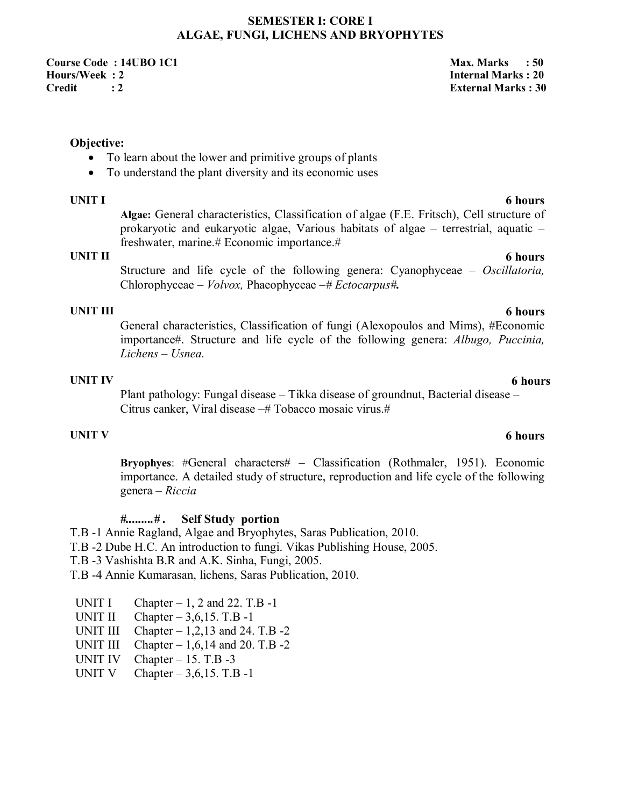### **SEMESTER I: CORE I ALGAE, FUNGI, LICHENS AND BRYOPHYTES**

**Course Code : 14UBO 1C1 Max. Marks : 50**  Max. Marks : 50 **Hours/Week : 2 Internal Marks : 20 Credit : 2 External Marks : 30** 

### **Objective:**

- To learn about the lower and primitive groups of plants
- To understand the plant diversity and its economic uses

**Algae:** General characteristics, Classification of algae (F.E. Fritsch), Cell structure of prokaryotic and eukaryotic algae, Various habitats of algae – terrestrial, aquatic – freshwater, marine.# Economic importance.#

# **UNIT II 6 hours**

Structure and life cycle of the following genera: Cyanophyceae *– Oscillatoria,*  Chlorophyceae *– Volvox,* Phaeophyceae *–# Ectocarpus#.*

**UNIT III 6 hours** General characteristics, Classification of fungi (Alexopoulos and Mims), #Economic importance#. Structure and life cycle of the following genera: *Albugo, Puccinia, Lichens – Usnea.*

# **UNIT IV 6 hours**

Plant pathology: Fungal disease – Tikka disease of groundnut, Bacterial disease – Citrus canker, Viral disease -# Tobacco mosaic virus.#

**Bryophyes**: #General characters# – Classification (Rothmaler, 1951). Economic importance. A detailed study of structure, reproduction and life cycle of the following genera – *Riccia* 

### *#.........# .* **Self Study portion**

T.B -1 Annie Ragland, Algae and Bryophytes, Saras Publication, 2010.

- T.B -2 Dube H.C. An introduction to fungi. Vikas Publishing House, 2005.
- T.B -3 Vashishta B.R and A.K. Sinha, Fungi, 2005.
- T.B -4 Annie Kumarasan, lichens, Saras Publication, 2010.
- UNIT I Chapter  $-1$ , 2 and 22. T.B  $-1$
- UNIT II Chapter  $-3.6, 15$ . T.B  $-1$
- UNIT III Chapter  $-1,2,13$  and 24. T.B  $-2$
- UNIT III Chapter  $-1,6,14$  and 20. T.B  $-2$
- UNIT IV Chapter  $-15$ . T.B  $-3$
- UNIT V Chapter  $-3,6,15$ . T.B -1

## **UNIT V 6 hours**

# **UNIT I 6 hours**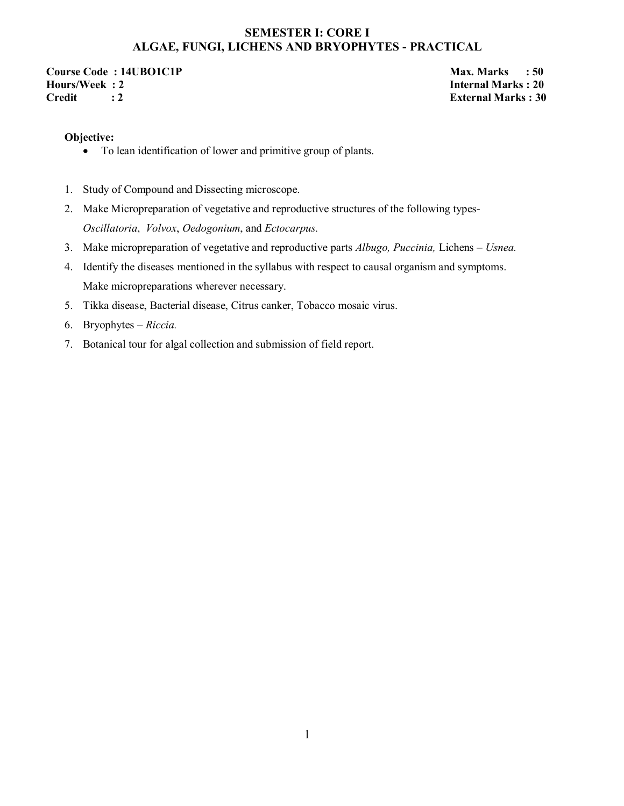# **SEMESTER I: CORE I ALGAE, FUNGI, LICHENS AND BRYOPHYTES - PRACTICAL**

**Course Code : 14UBO1C1P** Max. Marks : 50 **Max. Marks : 50**<br>
Hours/Week : 2 **Max. Marks : 20 Credit : 2 External Marks : 30** 

**Internal Marks : 20** 

### **Objective:**

- To lean identification of lower and primitive group of plants.
- 1. Study of Compound and Dissecting microscope.
- 2. Make Micropreparation of vegetative and reproductive structures of the following types-*Oscillatoria*, *Volvox*, *Oedogonium*, and *Ectocarpus.*
- 3. Make micropreparation of vegetative and reproductive parts *Albugo, Puccinia,* Lichens *Usnea.*
- 4. Identify the diseases mentioned in the syllabus with respect to causal organism and symptoms. Make micropreparations wherever necessary.
- 5. Tikka disease, Bacterial disease, Citrus canker, Tobacco mosaic virus.
- 6. Bryophytes *Riccia.*
- 7. Botanical tour for algal collection and submission of field report.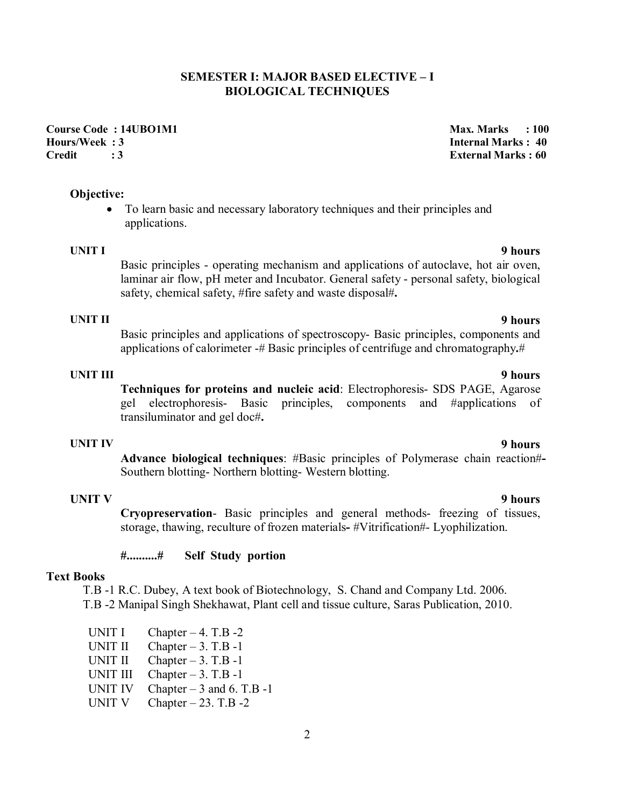### **SEMESTER I: MAJOR BASED ELECTIVE – I BIOLOGICAL TECHNIQUES**

# **Course Code : 14UBO1M1 Max. Marks : 100 and 2012 100 and 2013 100 and 2013 100 and 2013 100 and 2013 100 and 2013 100 and 2013 100 and 2013 100 and 2013 100 and 2014 100 and 2014 100 and 2014 100 and 2014 100 and 2014 100 Hours/Week : 3 Internal Marks : 40**

### **Objective:**

 To learn basic and necessary laboratory techniques and their principles and applications.

**UNIT I 9 hours** Basic principles - operating mechanism and applications of autoclave, hot air oven, laminar air flow, pH meter and Incubator. General safety - personal safety, biological safety, chemical safety, #fire safety and waste disposal#**.**

# **UNIT II 9 hours**

Basic principles and applications of spectroscopy- Basic principles, components and applications of calorimeter -# Basic principles of centrifuge and chromatography**.**#

**UNIT III 9 hours Techniques for proteins and nucleic acid**: Electrophoresis- SDS PAGE, Agarose gel electrophoresis- Basic principles, components and #applications of transiluminator and gel doc#**.**

# **UNIT IV 9 hours**

**Advance biological techniques**: #Basic principles of Polymerase chain reaction#**-** Southern blotting- Northern blotting- Western blotting.

### **UNIT V**

**Cryopreservation**- Basic principles and general methods- freezing of tissues, storage, thawing, reculture of frozen materials**-** #Vitrification#- Lyophilization.

### **#..........# Self Study portion**

### **Text Books**

T.B -1 R.C. Dubey, A text book of Biotechnology, S. Chand and Company Ltd. 2006. T.B -2 Manipal Singh Shekhawat, Plant cell and tissue culture, Saras Publication, 2010.

UNIT I Chapter  $-4$ . T.B  $-2$ UNIT II Chapter  $-3$ . T.B -1 UNIT II Chapter  $-3$ . T.B  $-1$ UNIT III Chapter  $-3$ . T.B  $-1$ UNIT IV Chapter  $-3$  and 6. T.B -1 UNIT V Chapter  $-23$ . T.B  $-2$ 

**Credit : 3 External Marks : 60** 

### **9 hours**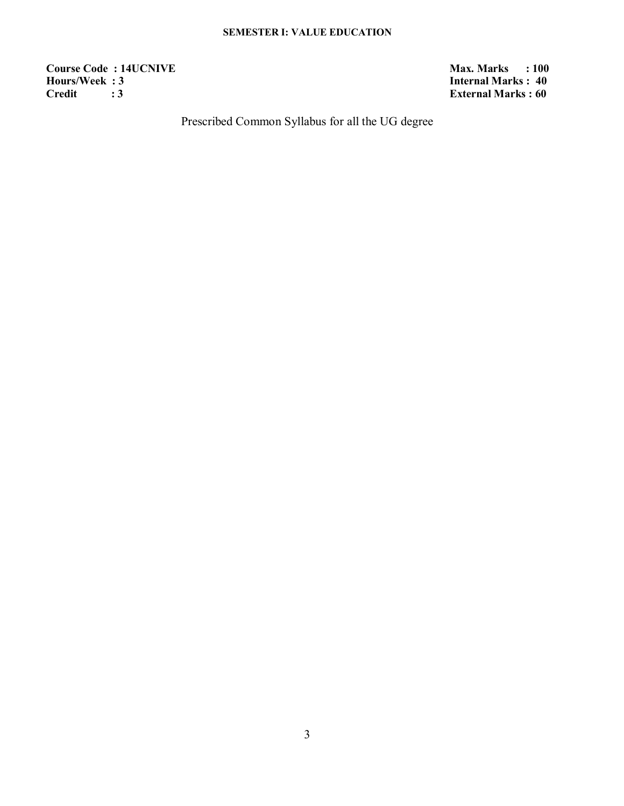### **SEMESTER I: VALUE EDUCATION**

**Course Code : 14UCNIVE** Max. Marks : 100<br> **Max. Marks** : 100<br> **Max. Marks** : 100<br> **Max. Marks** : 40 **Hours/Week : 3**<br>Credit : 3 **Internal Marks : 40** 

**External Marks : 60** 

Prescribed Common Syllabus for all the UG degree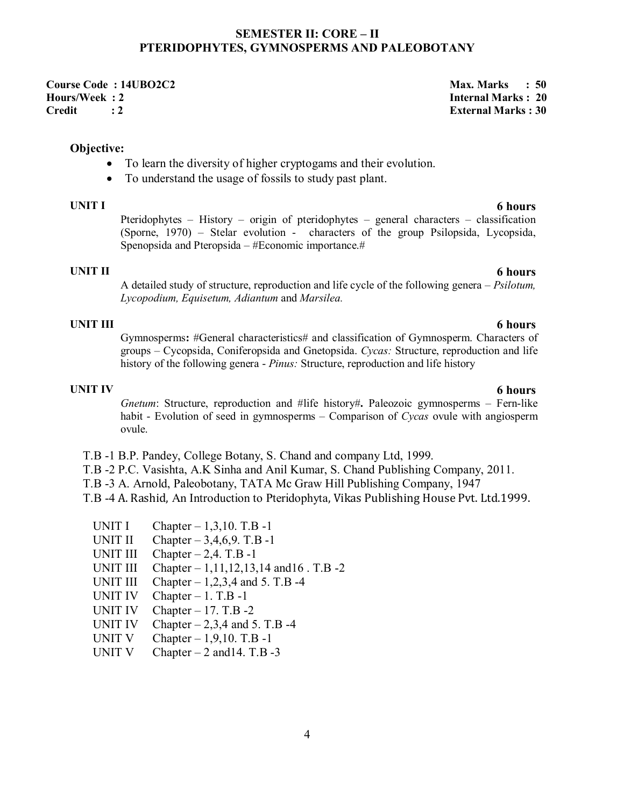### **SEMESTER II: CORE – II PTERIDOPHYTES, GYMNOSPERMS AND PALEOBOTANY**

**Course Code : 14UBO2C2**<br> **Course Code : 14UBO2C2**<br> **Cours/Week : 2 Credit : 2 External Marks : 30** 

### **Objective:**

- To learn the diversity of higher cryptogams and their evolution.
- To understand the usage of fossils to study past plant.

**UNIT I 6 hours** Pteridophytes – History – origin of pteridophytes – general characters – classification (Sporne, 1970) – Stelar evolution - characters of the group Psilopsida, Lycopsida, Spenopsida and Pteropsida – #Economic importance.#

# **UNIT II 6 hours**

A detailed study of structure, reproduction and life cycle of the following genera – *Psilotum, Lycopodium, Equisetum, Adiantum* and *Marsilea.* 

**UNIT III 6 hours** Gymnosperms**:** #General characteristics# and classification of Gymnosperm. Characters of groups – Cycopsida, Coniferopsida and Gnetopsida. *Cycas:* Structure, reproduction and life history of the following genera - *Pinus:* Structure, reproduction and life history

# **UNIT IV 6 hours**

*Gnetum*: Structure, reproduction and #life history#**.** Paleozoic gymnosperms – Fern-like habit - Evolution of seed in gymnosperms – Comparison of *Cycas* ovule with angiosperm ovule.

- T.B -1 B.P. Pandey, College Botany, S. Chand and company Ltd, 1999.
- T.B -2 P.C. Vasishta, A.K Sinha and Anil Kumar, S. Chand Publishing Company, 2011.
- T.B -3 A. Arnold, Paleobotany, TATA Mc Graw Hill Publishing Company, 1947

T.B -4 A. Rashid, An Introduction to Pteridophyta, Vikas Publishing House Pvt. Ltd.1999.

- UNIT I Chapter  $-1,3,10$ . T.B  $-1$
- UNIT II Chapter  $-3,4,6,9$ . T.B -1
- UNIT III Chapter  $-2,4$ . T.B -1
- UNIT III Chapter 1,11,12,13,14 and 16 . T.B -2
- UNIT III Chapter  $-1,2,3,4$  and 5. T.B -4
- UNIT IV Chapter  $-1$ . T.B  $-1$
- UNIT IV Chapter  $-17$ . T.B  $-2$
- UNIT IV Chapter  $-2,3,4$  and 5. T.B -4
- UNIT V Chapter  $-1,9,10$ . T.B  $-1$
- UNIT V Chapter  $-2$  and 14. T.B  $-3$

### 4

**Internal Marks : 20**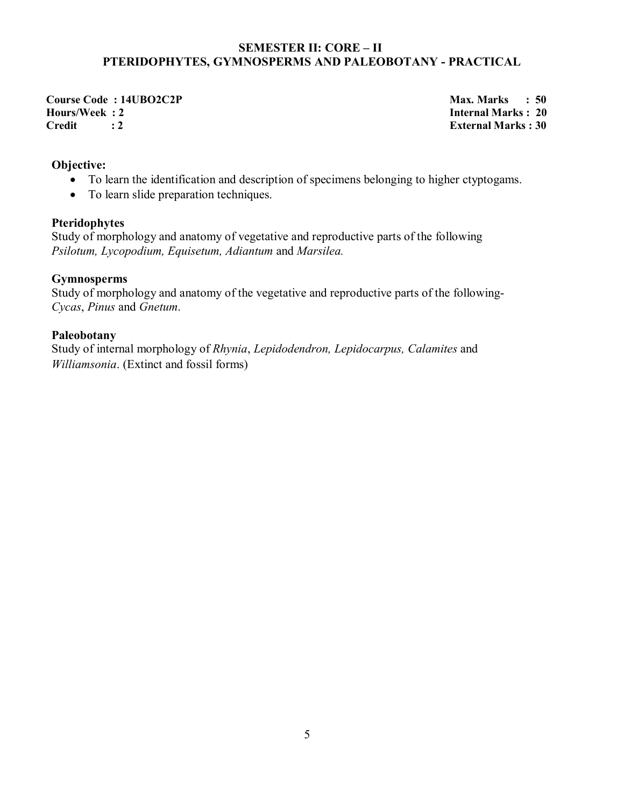### **SEMESTER II: CORE – II PTERIDOPHYTES, GYMNOSPERMS AND PALEOBOTANY - PRACTICAL**

**Course Code : 14UBO2C2P** Max. Marks : 50 **Hours/Week : 2**<br>Credit : 2 **Internal Marks : 20** 

**External Marks : 30** 

### **Objective:**

- To learn the identification and description of specimens belonging to higher ctyptogams.
- To learn slide preparation techniques.

### **Pteridophytes**

Study of morphology and anatomy of vegetative and reproductive parts of the following *Psilotum, Lycopodium, Equisetum, Adiantum* and *Marsilea.*

# **Gymnosperms**

Study of morphology and anatomy of the vegetative and reproductive parts of the following-*Cycas*, *Pinus* and *Gnetum*.

# **Paleobotany**

Study of internal morphology of *Rhynia*, *Lepidodendron, Lepidocarpus, Calamites* and *Williamsonia*. (Extinct and fossil forms)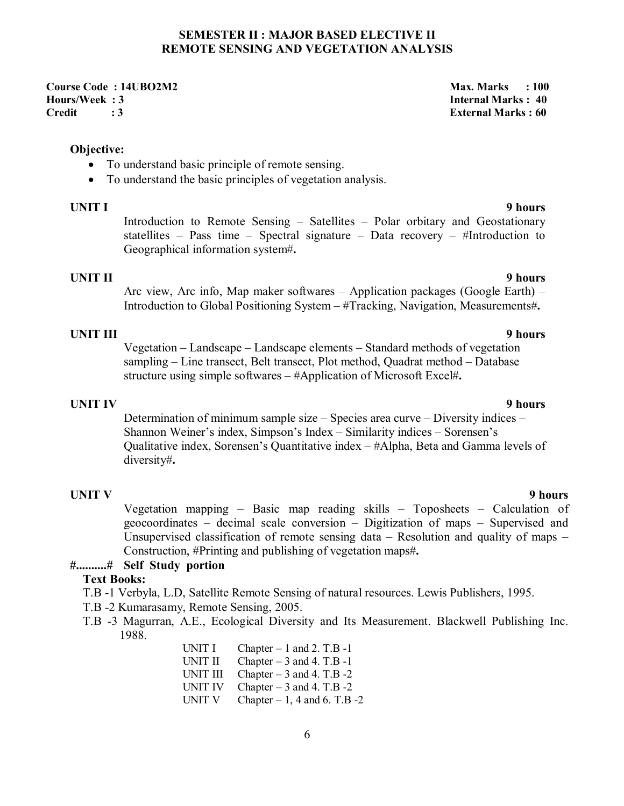### **SEMESTER II : MAJOR BASED ELECTIVE II REMOTE SENSING AND VEGETATION ANALYSIS**

**Course Code : 14UBO2M2 Max. Marks : 100 Max. Marks : 100 Hours/Week : 3 Internal Marks : 40 Credit : 3 External Marks : 60** 

### **Objective:**

- To understand basic principle of remote sensing.
- To understand the basic principles of vegetation analysis.

Introduction to Remote Sensing – Satellites – Polar orbitary and Geostationary statellites – Pass time – Spectral signature – Data recovery – #Introduction to Geographical information system#**.** 

### **UNIT II 9 hours**

Arc view, Arc info, Map maker softwares – Application packages (Google Earth) – Introduction to Global Positioning System – #Tracking, Navigation, Measurements#**.** 

### **UNIT III 9 hours**

Vegetation – Landscape – Landscape elements – Standard methods of vegetation sampling – Line transect, Belt transect, Plot method, Quadrat method – Database structure using simple softwares – #Application of Microsoft Excel#**.**

### **UNIT IV 9 hours**

Determination of minimum sample size – Species area curve – Diversity indices – Shannon Weiner's index, Simpson's Index – Similarity indices – Sorensen's Qualitative index, Sorensen's Quantitative index – #Alpha, Beta and Gamma levels of diversity#**.**

### **UNIT V**

Vegetation mapping – Basic map reading skills – Toposheets – Calculation of geocoordinates – decimal scale conversion – Digitization of maps – Supervised and Unsupervised classification of remote sensing data – Resolution and quality of maps – Construction, #Printing and publishing of vegetation maps#**.** 

### **#..........# Self Study portion**

### **Text Books:**

- T.B -1 Verbyla, L.D, Satellite Remote Sensing of natural resources. Lewis Publishers, 1995.
- T.B -2 Kumarasamy, Remote Sensing, 2005.
- T.B -3 Magurran, A.E., Ecological Diversity and Its Measurement. Blackwell Publishing Inc. 1988.
	- UNIT I Chapter  $-1$  and 2. T.B  $-1$ UNIT II Chapter  $-3$  and 4. T.B -1 UNIT III Chapter  $-3$  and 4. T.B  $-2$ UNIT IV Chapter  $-3$  and 4. T.B  $-2$ UNIT V Chapter  $-1$ , 4 and 6. T.B  $-2$

### **9 hours**

### **UNIT I 9 hours**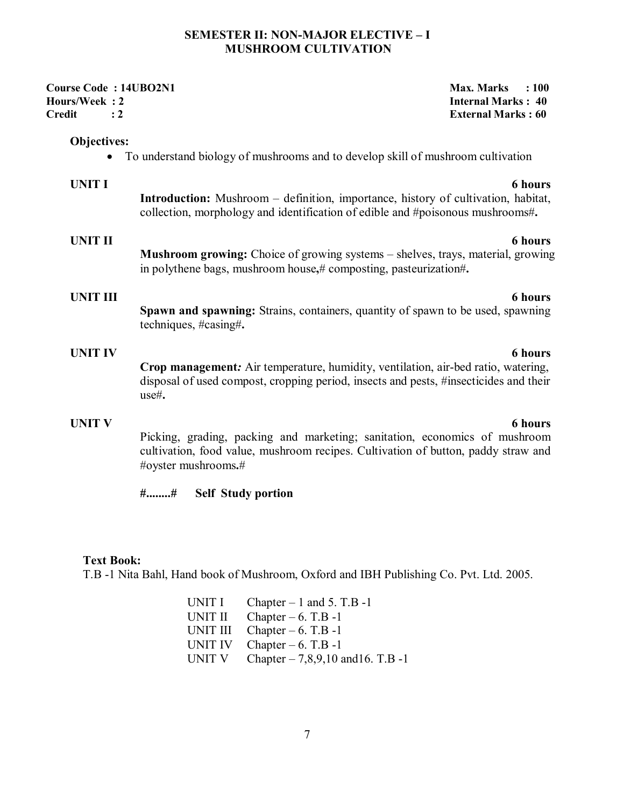### **SEMESTER II: NON-MAJOR ELECTIVE – I MUSHROOM CULTIVATION**

| <b>Course Code: 14UBO2N1</b><br>Hours/Week: 2<br><b>Credit</b><br>$\cdot$ 2 |                                                                                                                                                                                         | <b>Max. Marks</b><br>: 100<br><b>Internal Marks: 40</b><br><b>External Marks: 60</b> |
|-----------------------------------------------------------------------------|-----------------------------------------------------------------------------------------------------------------------------------------------------------------------------------------|--------------------------------------------------------------------------------------|
| <b>Objectives:</b>                                                          | To understand biology of mushrooms and to develop skill of mushroom cultivation                                                                                                         |                                                                                      |
| <b>UNIT I</b>                                                               | <b>Introduction:</b> Mushroom – definition, importance, history of cultivation, habitat,<br>collection, morphology and identification of edible and #poisonous mushrooms#.              | <b>6</b> hours                                                                       |
| <b>UNIT II</b>                                                              | <b>Mushroom growing:</b> Choice of growing systems – shelves, trays, material, growing<br>in polythene bags, mushroom house,# composting, pasteurization#.                              | <b>6</b> hours                                                                       |
| <b>UNIT III</b>                                                             | Spawn and spawning: Strains, containers, quantity of spawn to be used, spawning<br>techniques, #casing#.                                                                                | <b>6 hours</b>                                                                       |
| <b>UNIT IV</b>                                                              | Crop management: Air temperature, humidity, ventilation, air-bed ratio, watering,<br>disposal of used compost, cropping period, insects and pests, #insecticides and their<br>$use\#$ . | <b>6</b> hours                                                                       |
| <b>UNIT V</b>                                                               | Picking, grading, packing and marketing; sanitation, economics of mushroom<br>cultivation, food value, mushroom recipes. Cultivation of button, paddy straw and<br>#oyster mushrooms.#  | <b>6 hours</b>                                                                       |

**#........# Self Study portion** 

### **Text Book:**

T.B -1 Nita Bahl, Hand book of Mushroom, Oxford and IBH Publishing Co. Pvt. Ltd. 2005.

UNIT I Chapter  $-1$  and 5. T.B  $-1$ UNIT II Chapter  $-6$ . T.B -1 UNIT III Chapter  $-6$ . T.B -1 UNIT IV Chapter  $-6$ . T.B -1 UNIT V Chapter  $-7,8,9,10$  and 16. T.B -1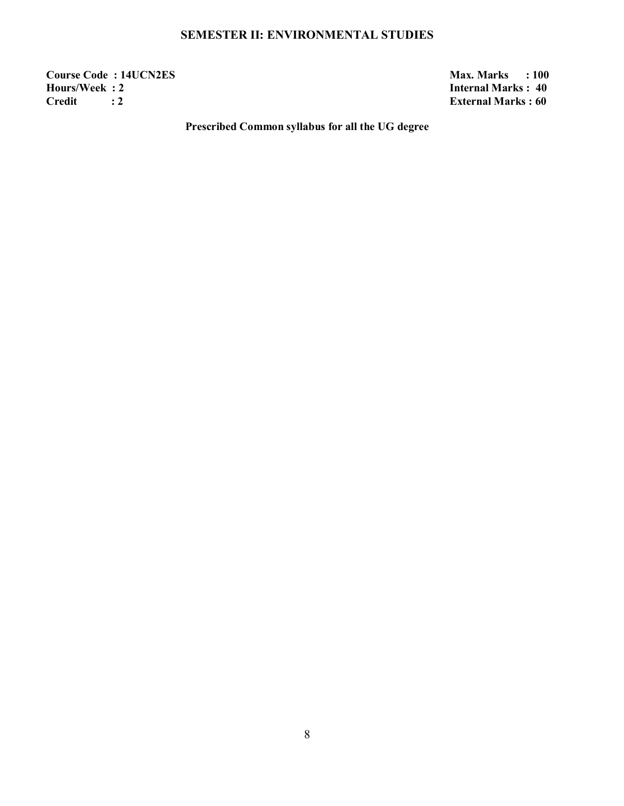# **SEMESTER II: ENVIRONMENTAL STUDIES**

**Course Code : 14UCN2ES** Max. Marks : 100<br> **Max. Marks** : 100<br> **Max. Marks** : 2<br> **Max. Marks** : 40 **Hours/Week : 2**<br>Credit : 2 **Internal Marks : 40** 

**External Marks : 60** 

**Prescribed Common syllabus for all the UG degree**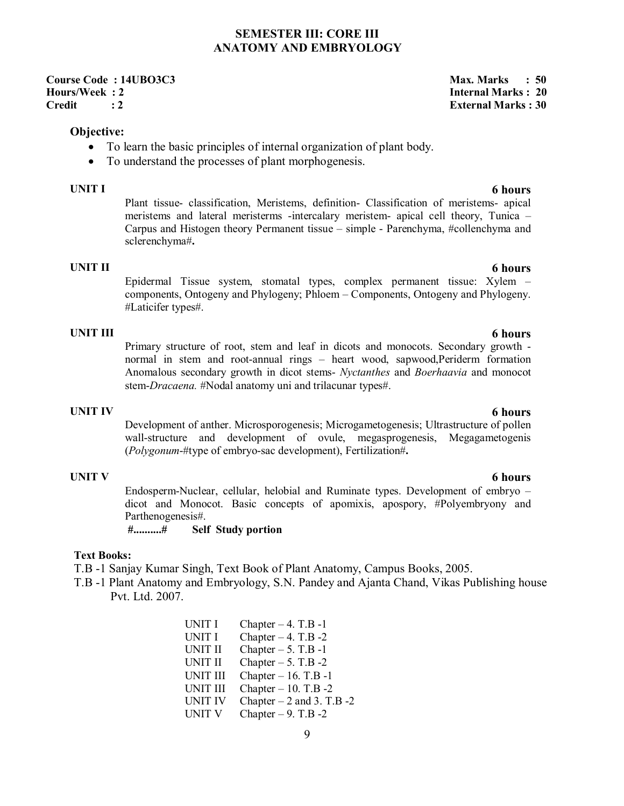### **SEMESTER III: CORE III ANATOMY AND EMBRYOLOGY**

**Course Code : 14UBO3C3** Max. Marks : 50 **Hours/Week : 2 Internal Marks : 20 Credit : 2 External Marks : 30** 

### **Objective:**

- To learn the basic principles of internal organization of plant body.
- To understand the processes of plant morphogenesis.

**UNIT I 6 hours** Plant tissue- classification, Meristems, definition- Classification of meristems- apical meristems and lateral meristerms -intercalary meristem- apical cell theory, Tunica – Carpus and Histogen theory Permanent tissue – simple - Parenchyma, #collenchyma and sclerenchyma#**.**

**UNIT II 6 hours** Epidermal Tissue system, stomatal types, complex permanent tissue: Xylem – components, Ontogeny and Phylogeny; Phloem – Components, Ontogeny and Phylogeny. #Laticifer types#.

**UNIT III 6 hours** Primary structure of root, stem and leaf in dicots and monocots. Secondary growth normal in stem and root-annual rings – heart wood, sapwood,Periderm formation Anomalous secondary growth in dicot stems- *Nyctanthes* and *Boerhaavia* and monocot stem-*Dracaena.* #Nodal anatomy uni and trilacunar types#.

Development of anther. Microsporogenesis; Microgametogenesis; Ultrastructure of pollen wall-structure and development of ovule, megasprogenesis, Megagametogenis (*Polygonum*-#type of embryo-sac development), Fertilization#**.**

Endosperm-Nuclear, cellular, helobial and Ruminate types. Development of embryo – dicot and Monocot. Basic concepts of apomixis, apospory, #Polyembryony and Parthenogenesis#.

**#..........# Self Study portion** 

### **Text Books:**

T.B -1 Sanjay Kumar Singh, Text Book of Plant Anatomy, Campus Books, 2005.

T.B -1 Plant Anatomy and Embryology, S.N. Pandey and Ajanta Chand, Vikas Publishing house Pvt. Ltd. 2007.

> UNIT I Chapter  $-4$ . T.B  $-1$ UNIT I Chapter  $-4$ . T.B  $-2$ UNIT II Chapter  $-5$ . T.B  $-1$ UNIT II Chapter  $-5$ . T.B  $-2$ UNIT III Chapter – 16. T.B -1 UNIT III Chapter – 10. T.B -2 UNIT IV Chapter – 2 and 3. T.B -2<br>UNIT V Chapter – 9. T.B -2 Chapter – 9. T.B -2

# **UNIT V 6 hours**

# **UNIT IV 6 hours**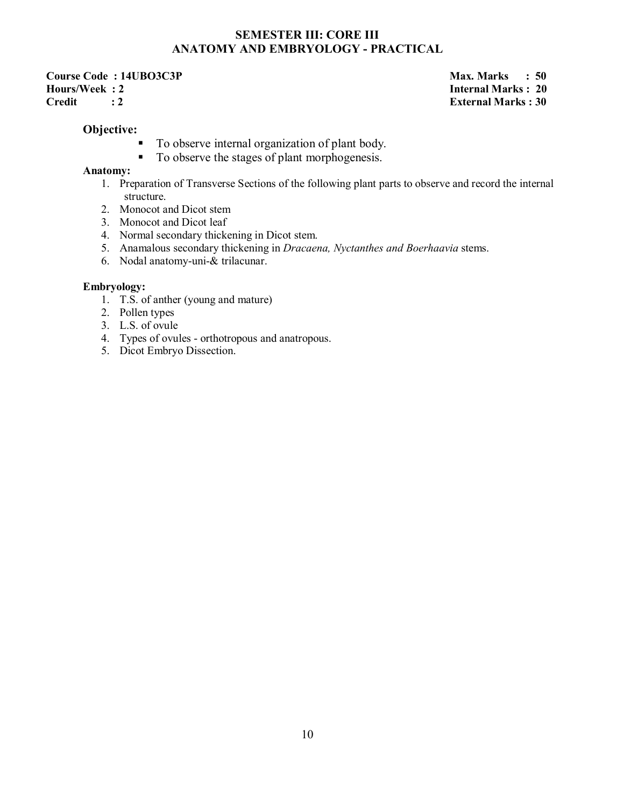# **SEMESTER III: CORE III ANATOMY AND EMBRYOLOGY - PRACTICAL**

**Course Code : 14UBO3C3P** Max. Marks : 50 **Hours/Week : 2 Internal Marks : 20 Credit : 2 External Marks : 30**

### **Objective:**

- To observe internal organization of plant body.
- To observe the stages of plant morphogenesis.

### **Anatomy:**

- 1. Preparation of Transverse Sections of the following plant parts to observe and record the internal structure.
- 2. Monocot and Dicot stem
- 3. Monocot and Dicot leaf
- 4. Normal secondary thickening in Dicot stem.
- 5. Anamalous secondary thickening in *Dracaena, Nyctanthes and Boerhaavia* stems.
- 6. Nodal anatomy-uni-& trilacunar.

### **Embryology:**

- 1. T.S. of anther (young and mature)
- 2. Pollen types
- 3. L.S. of ovule
- 4. Types of ovules orthotropous and anatropous.
- 5. Dicot Embryo Dissection.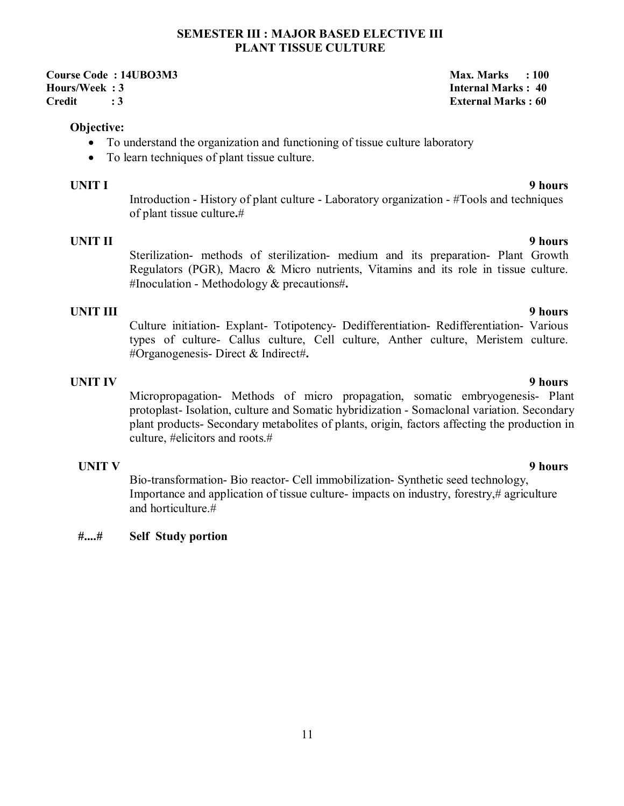### **SEMESTER III : MAJOR BASED ELECTIVE III PLANT TISSUE CULTURE**

**Course Code : 14UBO3M3** Max. Marks : 100 **Hours/Week : 3 Internal Marks : 40 Credit : 3 External Marks : 60** 

### **Objective:**

- To understand the organization and functioning of tissue culture laboratory
- To learn techniques of plant tissue culture.

# **UNIT I 9 hours**

Introduction - History of plant culture - Laboratory organization - #Tools and techniques of plant tissue culture**.**#

## **UNIT II 9 hours**

Sterilization- methods of sterilization- medium and its preparation- Plant Growth Regulators (PGR), Macro & Micro nutrients, Vitamins and its role in tissue culture. #Inoculation - Methodology & precautions#**.**

**UNIT III** 9 hours Culture initiation- Explant- Totipotency- Dedifferentiation- Redifferentiation- Various types of culture- Callus culture, Cell culture, Anther culture, Meristem culture. #Organogenesis- Direct & Indirect#**.**

**UNIT IV 9 hours** Micropropagation- Methods of micro propagation, somatic embryogenesis- Plant protoplast- Isolation, culture and Somatic hybridization - Somaclonal variation. Secondary plant products- Secondary metabolites of plants, origin, factors affecting the production in culture, #elicitors and roots.#

### **UNIT V**

Bio-transformation- Bio reactor- Cell immobilization- Synthetic seed technology, Importance and application of tissue culture- impacts on industry, forestry,# agriculture and horticulture  $#$ 

### **#....# Self Study portion**

### **9 hours**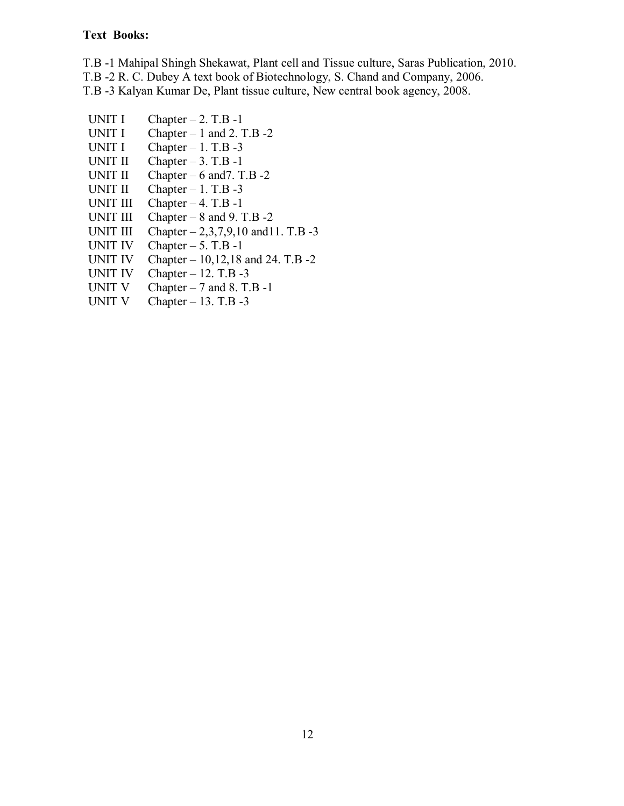# **Text Books:**

T.B -1 Mahipal Shingh Shekawat, Plant cell and Tissue culture, Saras Publication, 2010.

T.B -2 R. C. Dubey A text book of Biotechnology, S. Chand and Company, 2006.

T.B -3 Kalyan Kumar De, Plant tissue culture, New central book agency, 2008.

- UNIT I Chapter  $-2$ . T.B  $-1$
- UNIT I Chapter  $-1$  and 2. T.B  $-2$
- UNIT I Chapter  $-1$ . T.B  $-3$
- UNIT II Chapter  $-3$ . T.B -1
- UNIT II Chapter 6 and 7. T.B 2
- UNIT II Chapter  $-1$ . T.B  $-3$
- UNIT III Chapter  $-4$ . T.B  $-1$
- UNIT III Chapter  $-8$  and 9. T.B  $-2$
- UNIT III Chapter  $-2,3,7,9,10$  and 11. T.B -3
- 
- UNIT IV Chapter  $-5$ . T.B -1<br>UNIT IV Chapter  $-10,12,18$ UNIT IV Chapter –  $10,12,18$  and 24. T.B -2<br>UNIT IV Chapter – 12. T.B -3
- Chapter 12. T.B -3
- UNIT V Chapter  $-7$  and 8. T.B -1
- UNIT V Chapter  $-13$ . T.B  $-3$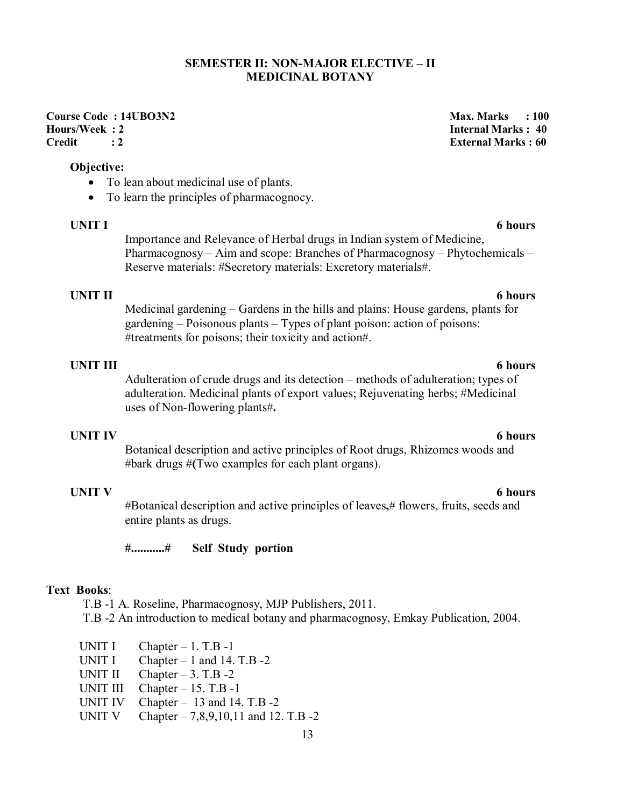### **SEMESTER II: NON-MAJOR ELECTIVE – II MEDICINAL BOTANY**

# Course Code : 14UBO3N2 Max. Marks : 100<br>
Hours/Week : 2 **Max. Marks : 2** Max. Marks : 40 **Credit : 2 External Marks : 60**

### **Objective:**

- To lean about medicinal use of plants.
- To learn the principles of pharmacognocy.

### **UNIT I** 6 hours

Importance and Relevance of Herbal drugs in Indian system of Medicine, Pharmacognosy – Aim and scope: Branches of Pharmacognosy – Phytochemicals – Reserve materials: #Secretory materials: Excretory materials#.

### **UNIT II** 6 hours

Medicinal gardening – Gardens in the hills and plains: House gardens, plants for gardening – Poisonous plants – Types of plant poison: action of poisons: #treatments for poisons; their toxicity and action#.

### **UNIT III 6 hours**

Adulteration of crude drugs and its detection – methods of adulteration; types of adulteration. Medicinal plants of export values; Rejuvenating herbs; #Medicinal uses of Non-flowering plants#**.** 

### **UNIT IV 6 hours**

Botanical description and active principles of Root drugs, Rhizomes woods and #bark drugs #**(**Two examples for each plant organs).

**UNIT V** 6 hours

#Botanical description and active principles of leaves**,**# flowers, fruits, seeds and entire plants as drugs.

**#...........# Self Study portion** 

# **Text Books**:

T.B -1 A. Roseline, Pharmacognosy, MJP Publishers, 2011. T.B -2 An introduction to medical botany and pharmacognosy, Emkay Publication, 2004.

UNIT I Chapter  $-1$ . T.B  $-1$ UNIT I Chapter  $-1$  and 14. T.B  $-2$ UNIT II Chapter  $-3$ . T.B  $-2$ UNIT III Chapter – 15. T.B -1 UNIT IV Chapter – 13 and 14. T.B -2 UNIT V Chapter  $- 7,8,9,10,11$  and 12. T.B  $-2$  **Internal Marks : 40**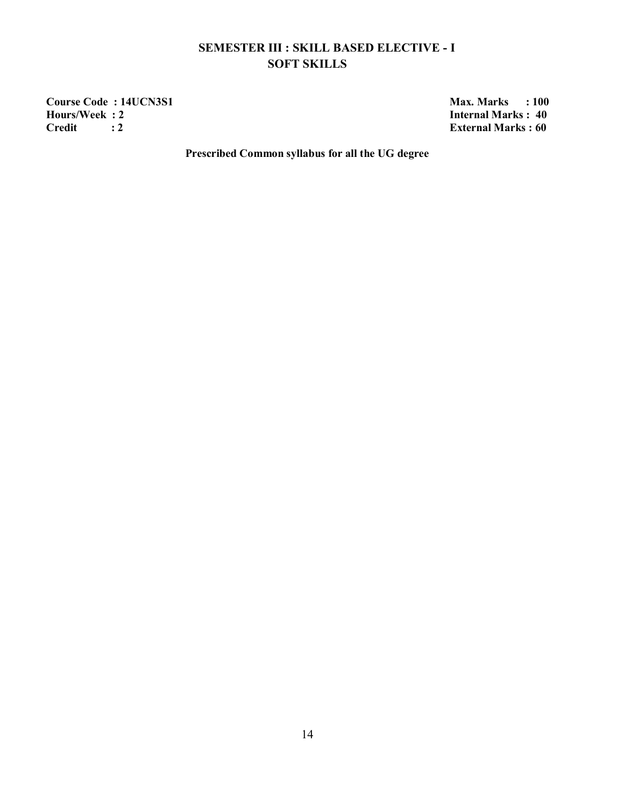# **SEMESTER III : SKILL BASED ELECTIVE - I SOFT SKILLS**

**Course Code : 14UCN3S1** Max. Marks : 100<br> **Hours/Week : 2** Internal Marks : 40 **Credit : 2 External Marks : 60** 

**Hours Hours CE 40 Hours CE E HO E** 

**Prescribed Common syllabus for all the UG degree**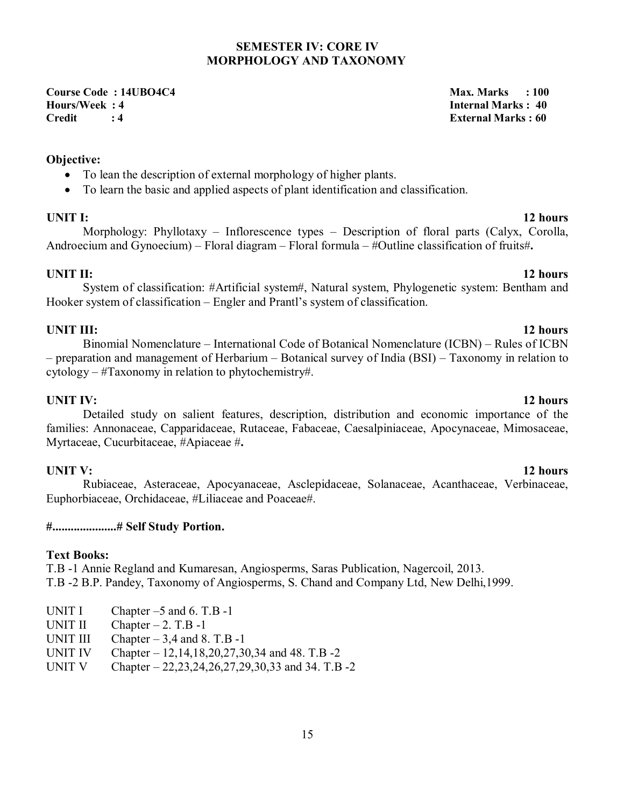### **SEMESTER IV: CORE IV MORPHOLOGY AND TAXONOMY**

**Course Code : 14UBO4C4 Max. Marks : 100 Hours/Week : 4 Internal Marks : 40 Credit : 4 External Marks : 60** 

# **Objective:**

- To lean the description of external morphology of higher plants.
- To learn the basic and applied aspects of plant identification and classification.

# **UNIT I:** 12 hours

Morphology: Phyllotaxy – Inflorescence types – Description of floral parts (Calyx, Corolla, Androecium and Gynoecium) – Floral diagram – Floral formula – #Outline classification of fruits#**.** 

System of classification: #Artificial system#, Natural system, Phylogenetic system: Bentham and Hooker system of classification – Engler and Prantl's system of classification.

# **UNIT III:** 12 hours

Binomial Nomenclature – International Code of Botanical Nomenclature (ICBN) – Rules of ICBN – preparation and management of Herbarium – Botanical survey of India (BSI) – Taxonomy in relation to cytology – #Taxonomy in relation to phytochemistry#.

# **UNIT IV:** 12 hours

Detailed study on salient features, description, distribution and economic importance of the families: Annonaceae, Capparidaceae, Rutaceae, Fabaceae, Caesalpiniaceae, Apocynaceae, Mimosaceae, Myrtaceae, Cucurbitaceae, #Apiaceae #**.**

# **UNIT V:** 12 hours

Rubiaceae, Asteraceae, Apocyanaceae, Asclepidaceae, Solanaceae, Acanthaceae, Verbinaceae, Euphorbiaceae, Orchidaceae, #Liliaceae and Poaceae#.

# **#.....................# Self Study Portion.**

### **Text Books:**

T.B -1 Annie Regland and Kumaresan, Angiosperms, Saras Publication, Nagercoil, 2013. T.B -2 B.P. Pandey, Taxonomy of Angiosperms, S. Chand and Company Ltd, New Delhi,1999.

- UNIT I Chapter  $-5$  and 6. T.B  $-1$
- UNIT II Chapter  $-2$ . T.B  $-1$
- UNIT III Chapter  $-3,4$  and 8. T.B -1

UNIT IV Chapter – 12,14,18,20,27,30,34 and 48. T.B -2

UNIT V Chapter – 22,23,24,26,27,29,30,33 and 34. T.B -2

### **UNIT II:** 12 hours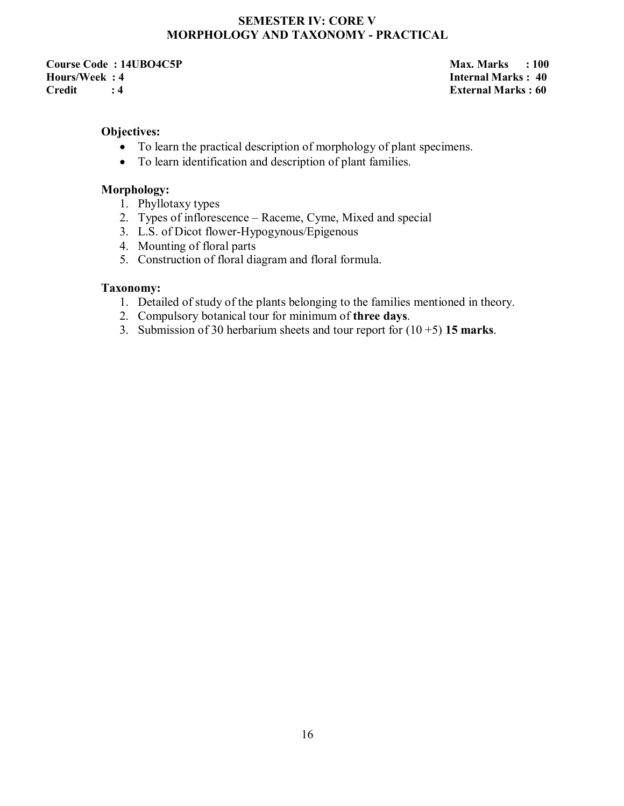# **SEMESTER IV: CORE V MORPHOLOGY AND TAXONOMY - PRACTICAL**

**Course Code : 14UBO4C5P** Max. Marks : 100 **Hours/Week : 4 Internal Marks : 40 Credit : 4 External Marks : 60** 

### **Objectives:**

- To learn the practical description of morphology of plant specimens.
- To learn identification and description of plant families.

# **Morphology:**

- 1. Phyllotaxy types
- 2. Types of inflorescence Raceme, Cyme, Mixed and special
- 3. L.S. of Dicot flower-Hypogynous/Epigenous
- 4. Mounting of floral parts
- 5. Construction of floral diagram and floral formula.

### **Taxonomy:**

- 1. Detailed of study of the plants belonging to the families mentioned in theory.
- 2. Compulsory botanical tour for minimum of **three days**.
- 3. Submission of 30 herbarium sheets and tour report for (10 +5) **15 marks**.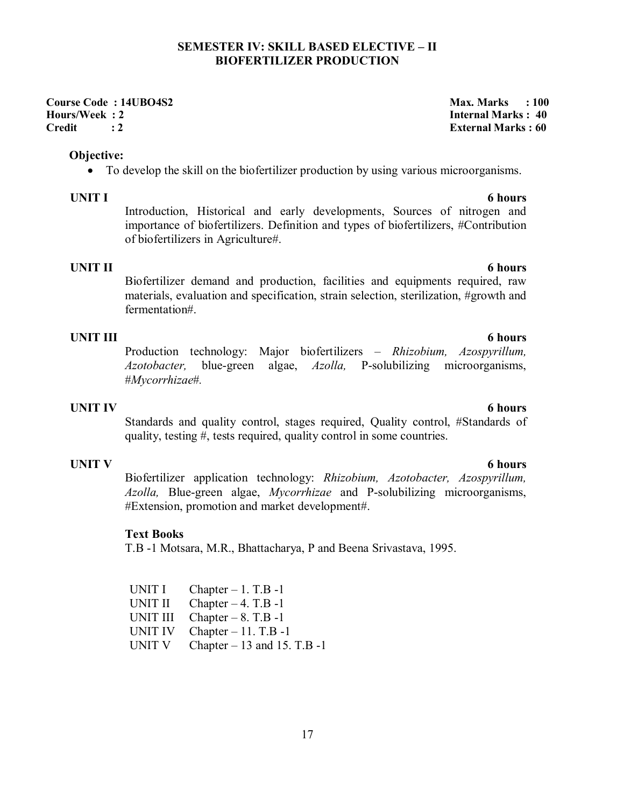### **SEMESTER IV: SKILL BASED ELECTIVE – II BIOFERTILIZER PRODUCTION**

**Course Code : 14UBO4S2** Max. Marks : 100 **Hours/Week : 2 Internal Marks : 40 Credit : 2 External Marks : 60** 

### **Objective:**

To develop the skill on the biofertilizer production by using various microorganisms.

**UNIT I** 6 hours Introduction, Historical and early developments, Sources of nitrogen and importance of biofertilizers. Definition and types of biofertilizers, #Contribution of biofertilizers in Agriculture#.

**UNIT II** 6 hours Biofertilizer demand and production, facilities and equipments required, raw materials, evaluation and specification, strain selection, sterilization, #growth and fermentation#.

### **UNIT III 6 hours**

Production technology: Major biofertilizers – *Rhizobium, Azospyrillum, Azotobacter,* blue-green algae, *Azolla,* P-solubilizing microorganisms, #*Mycorrhizae*#*.* 

Standards and quality control, stages required, Quality control, #Standards of

# **UNIT IV 6 hours**

**UNIT V** 6 hours Biofertilizer application technology: *Rhizobium, Azotobacter, Azospyrillum, Azolla,* Blue-green algae, *Mycorrhizae* and P-solubilizing microorganisms, #Extension, promotion and market development#.

### **Text Books**

T.B -1 Motsara, M.R., Bhattacharya, P and Beena Srivastava, 1995.

quality, testing #, tests required, quality control in some countries.

| UNIT I   | Chapter $-1$ . T.B $-1$        |
|----------|--------------------------------|
| UNIT II  | Chapter $-4$ . T.B $-1$        |
| UNIT III | Chapter $-8$ . T.B -1          |
| UNIT IV  | Chapter $-11$ . T.B $-1$       |
| UNIT V   | Chapter $-13$ and 15. T.B $-1$ |

17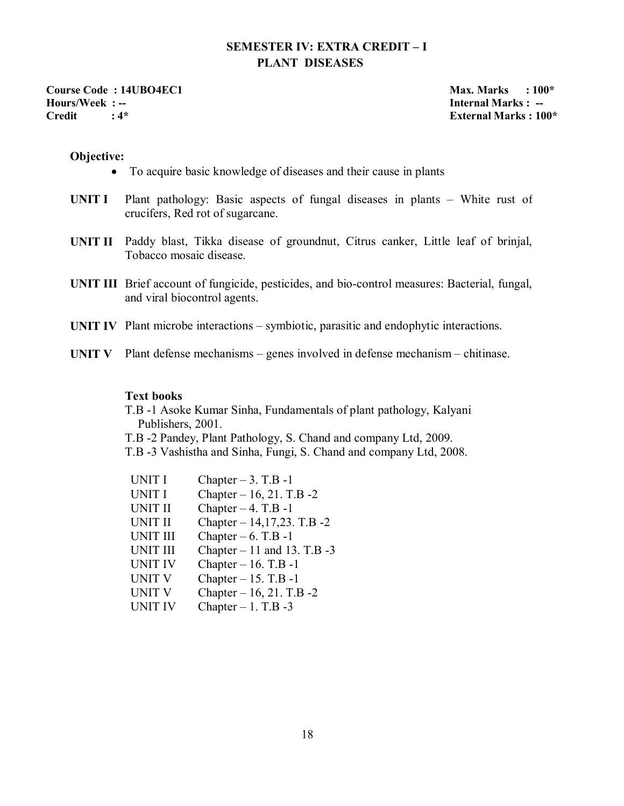# **SEMESTER IV: EXTRA CREDIT – I PLANT DISEASES**

**Course Code : 14UBO4EC1** Max. Marks : 100\* **Hours/Week : -- Internal Marks : -- Credit : 4\* External Marks : 100\*** 

### **Objective:**

- To acquire basic knowledge of diseases and their cause in plants
- **UNIT I** Plant pathology: Basic aspects of fungal diseases in plants White rust of crucifers, Red rot of sugarcane.
- **UNIT II** Paddy blast, Tikka disease of groundnut, Citrus canker, Little leaf of brinjal, Tobacco mosaic disease.
- **UNIT III** Brief account of fungicide, pesticides, and bio-control measures: Bacterial, fungal, and viral biocontrol agents.
- **UNIT IV** Plant microbe interactions symbiotic, parasitic and endophytic interactions.
- **UNIT V** Plant defense mechanisms genes involved in defense mechanism chitinase.

### **Text books**

T.B -1 Asoke Kumar Sinha, Fundamentals of plant pathology, Kalyani Publishers, 2001.

- T.B -2 Pandey, Plant Pathology, S. Chand and company Ltd, 2009.
- T.B -3 Vashistha and Sinha, Fungi, S. Chand and company Ltd, 2008.

| UNIT I          | Chapter $-3$ . T.B -1          |
|-----------------|--------------------------------|
| <b>UNIT I</b>   | Chapter - 16, 21. T.B -2       |
| <b>UNIT II</b>  | Chapter $-4$ . T.B $-1$        |
| <b>UNIT II</b>  | Chapter $-14,17,23$ . T.B $-2$ |
| <b>UNIT III</b> | Chapter $-6$ . T.B -1          |
| <b>UNIT III</b> | Chapter $-11$ and 13. T.B -3   |
| <b>UNIT IV</b>  | Chapter $-16$ . T.B $-1$       |
| <b>UNIT V</b>   | Chapter $-15$ . T.B $-1$       |
| <b>UNIT V</b>   | Chapter $-16$ , 21. T.B $-2$   |
| <b>UNIT IV</b>  | Chapter $-1$ . T.B $-3$        |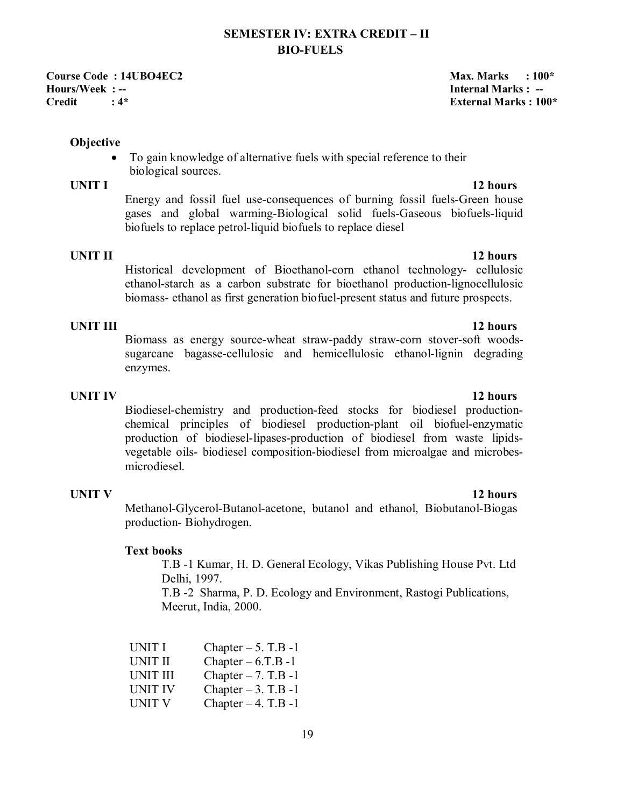# **SEMESTER IV: EXTRA CREDIT – II BIO-FUELS**

**Course Code : 14UBO4EC2** Max. Marks : 100\* **Hours/Week : -- Internal Marks : -- Internal Marks : -- Internal Marks : -- Preditional Section : 4\* Credit : 4\* External Marks : 100\*** 

### **Objective**

 To gain knowledge of alternative fuels with special reference to their biological sources.

**UNIT I** 12 hours Energy and fossil fuel use-consequences of burning fossil fuels-Green house gases and global warming-Biological solid fuels-Gaseous biofuels-liquid biofuels to replace petrol-liquid biofuels to replace diesel

**UNIT II** 12 hours Historical development of Bioethanol-corn ethanol technology- cellulosic ethanol-starch as a carbon substrate for bioethanol production-lignocellulosic biomass- ethanol as first generation biofuel-present status and future prospects.

# **UNIT III 12 hours**

Biomass as energy source-wheat straw-paddy straw-corn stover-soft woodssugarcane bagasse-cellulosic and hemicellulosic ethanol-lignin degrading enzymes.

**UNIT IV 12 hours** Biodiesel-chemistry and production-feed stocks for biodiesel productionchemical principles of biodiesel production-plant oil biofuel-enzymatic production of biodiesel-lipases-production of biodiesel from waste lipidsvegetable oils- biodiesel composition-biodiesel from microalgae and microbesmicrodiesel.

### **UNIT V** 12 hours

Methanol-Glycerol-Butanol-acetone, butanol and ethanol, Biobutanol-Biogas production- Biohydrogen.

### **Text books**

T.B -1 Kumar, H. D. General Ecology, Vikas Publishing House Pvt. Ltd Delhi, 1997.

T.B -2 Sharma, P. D. Ecology and Environment, Rastogi Publications, Meerut, India, 2000.

| UNIT I          | Chapter $-5$ . T.B -1   |
|-----------------|-------------------------|
| <b>UNIT II</b>  | Chapter $-6.T.B-1$      |
| <b>UNIT III</b> | Chapter $-7.$ T.B $-1$  |
| <b>UNIT IV</b>  | Chapter $-3$ . T.B -1   |
| <b>UNIT V</b>   | Chapter $-4$ . T.B $-1$ |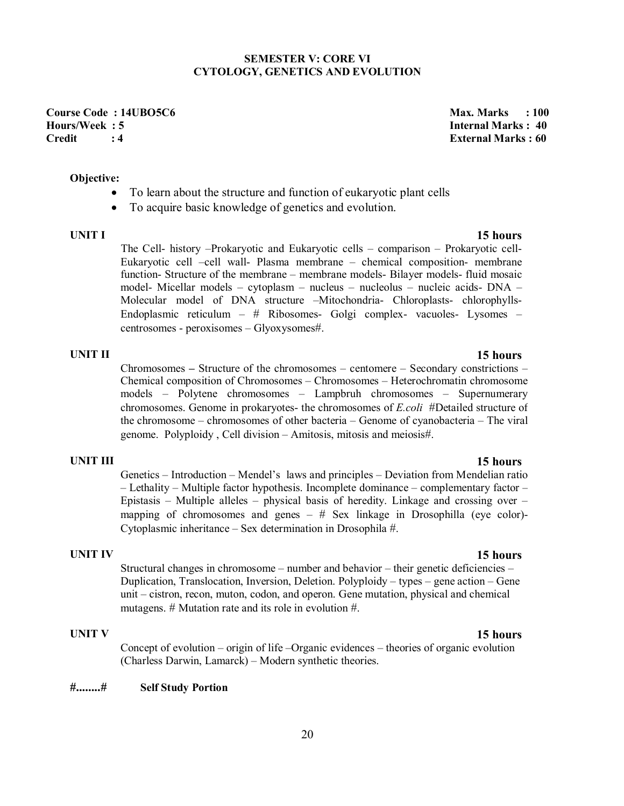### **SEMESTER V: CORE VI CYTOLOGY, GENETICS AND EVOLUTION**

**Course Code : 14UBO5C6 Max. Marks : 100 Credit : 4 External Marks : 60** 

# **Internal Marks : 40**

### **Objective:**

- To learn about the structure and function of eukaryotic plant cells
- To acquire basic knowledge of genetics and evolution.

**UNIT I 15 hours** The Cell- history –Prokaryotic and Eukaryotic cells – comparison – Prokaryotic cell-Eukaryotic cell –cell wall- Plasma membrane – chemical composition- membrane function- Structure of the membrane – membrane models- Bilayer models- fluid mosaic model- Micellar models – cytoplasm – nucleus – nucleolus – nucleic acids- DNA – Molecular model of DNA structure –Mitochondria- Chloroplasts- chlorophylls-Endoplasmic reticulum – # Ribosomes- Golgi complex- vacuoles- Lysomes – centrosomes - peroxisomes – Glyoxysomes#.

**UNIT II 15 hours** Chromosomes **–** Structure of the chromosomes – centomere – Secondary constrictions – Chemical composition of Chromosomes – Chromosomes – Heterochromatin chromosome models – Polytene chromosomes – Lampbruh chromosomes – Supernumerary chromosomes. Genome in prokaryotes- the chromosomes of *E.coli* #Detailed structure of the chromosome – chromosomes of other bacteria – Genome of cyanobacteria – The viral genome. Polyploidy , Cell division – Amitosis, mitosis and meiosis#.

# **UNIT III 15 hours**

Genetics – Introduction – Mendel's laws and principles – Deviation from Mendelian ratio – Lethality – Multiple factor hypothesis. Incomplete dominance – complementary factor – Epistasis – Multiple alleles – physical basis of heredity. Linkage and crossing over – mapping of chromosomes and genes  $-$  # Sex linkage in Drosophilla (eye color)-Cytoplasmic inheritance – Sex determination in Drosophila #.

**UNIT IV 15 hours** Structural changes in chromosome – number and behavior – their genetic deficiencies – Duplication, Translocation, Inversion, Deletion. Polyploidy – types – gene action – Gene unit – cistron, recon, muton, codon, and operon. Gene mutation, physical and chemical mutagens. # Mutation rate and its role in evolution #.

**UNIT V 15 hours** Concept of evolution – origin of life –Organic evidences – theories of organic evolution (Charless Darwin, Lamarck) – Modern synthetic theories.

### **#........# Self Study Portion**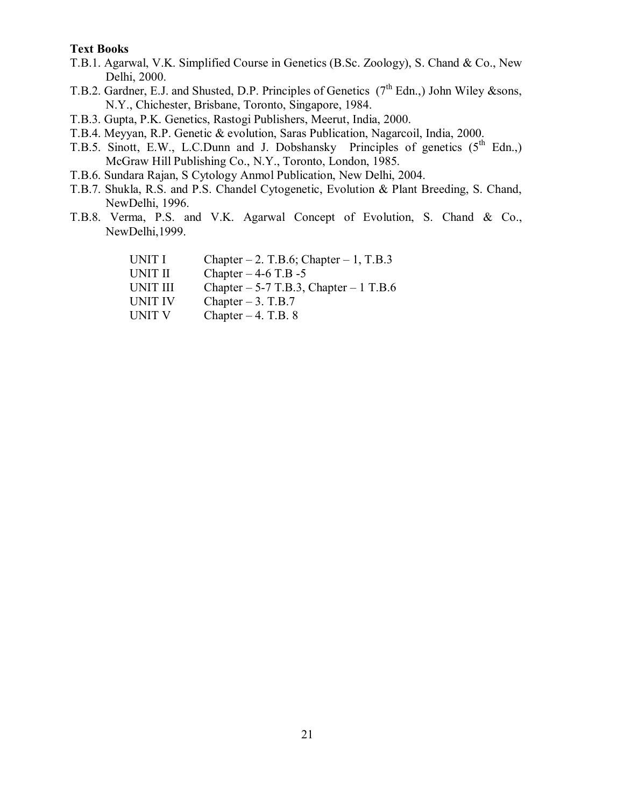### **Text Books**

- T.B.1. Agarwal, V.K. Simplified Course in Genetics (B.Sc. Zoology), S. Chand & Co., New Delhi, 2000.
- T.B.2. Gardner, E.J. and Shusted, D.P. Principles of Genetics (7<sup>th</sup> Edn.,) John Wiley &sons, N.Y., Chichester, Brisbane, Toronto, Singapore, 1984.
- T.B.3. Gupta, P.K. Genetics, Rastogi Publishers, Meerut, India, 2000.
- T.B.4. Meyyan, R.P. Genetic & evolution, Saras Publication, Nagarcoil, India, 2000.
- T.B.5. Sinott, E.W., L.C.Dunn and J. Dobshansky Principles of genetics  $(5^{th}$  Edn.) McGraw Hill Publishing Co., N.Y., Toronto, London, 1985.
- T.B.6. Sundara Rajan, S Cytology Anmol Publication, New Delhi, 2004.
- T.B.7. Shukla, R.S. and P.S. Chandel Cytogenetic, Evolution & Plant Breeding, S. Chand, NewDelhi, 1996.
- T.B.8. Verma, P.S. and V.K. Agarwal Concept of Evolution, S. Chand & Co., NewDelhi,1999.

| UNIT I   | Chapter $-2$ . T.B.6; Chapter $-1$ , T.B.3 |
|----------|--------------------------------------------|
| UNIT II  | Chapter $-4-6$ T.B $-5$                    |
| UNIT III | Chapter $-5-7$ T.B.3, Chapter $-1$ T.B.6   |
| UNIT IV  | Chapter $-3$ . T.B.7                       |
| UNIT V   | Chapter $-4$ . T.B. 8                      |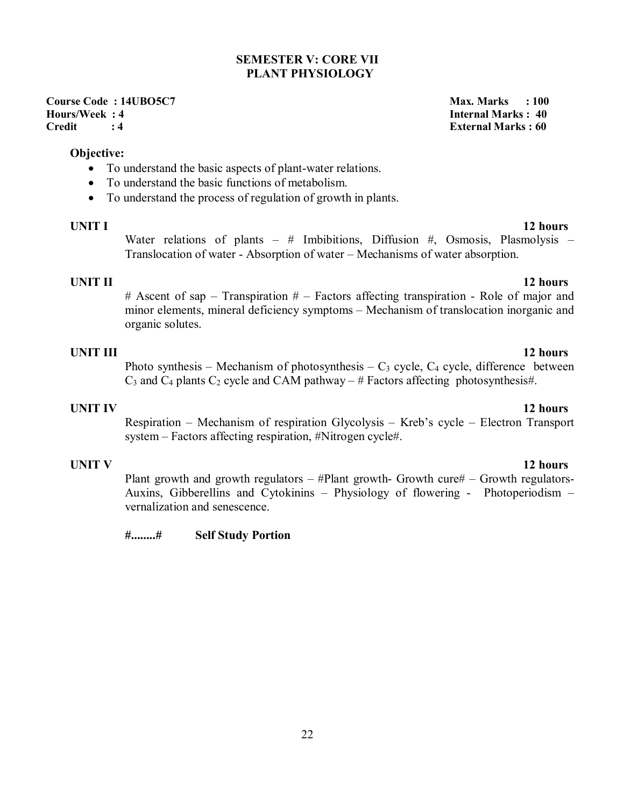# **SEMESTER V: CORE VII PLANT PHYSIOLOGY**

**Course Code : 14UBO5C7 Max. Marks : 100 Hours/Week : 4 Internal Marks : 40 Credit : 4 External Marks : 60** 

### **Objective:**

- To understand the basic aspects of plant-water relations.
- To understand the basic functions of metabolism.
- To understand the process of regulation of growth in plants.

**UNIT I** 12 hours Water relations of plants – # Imbibitions, Diffusion #, Osmosis, Plasmolysis – Translocation of water - Absorption of water – Mechanisms of water absorption.

**UNIT II** 12 hours  $#$  Ascent of sap – Transpiration  $#$  – Factors affecting transpiration - Role of major and minor elements, mineral deficiency symptoms – Mechanism of translocation inorganic and organic solutes.

### **UNIT III 12 hours**

Photo synthesis – Mechanism of photosynthesis –  $C_3$  cycle,  $C_4$  cycle, difference between  $C_3$  and  $C_4$  plants  $C_2$  cycle and CAM pathway – # Factors affecting photosynthesis#.

# **UNIT IV 12 hours**

Respiration – Mechanism of respiration Glycolysis – Kreb's cycle – Electron Transport system – Factors affecting respiration, #Nitrogen cycle#.

**UNIT V** 12 hours Plant growth and growth regulators  $-$  #Plant growth- Growth cure#  $-$  Growth regulators-Auxins, Gibberellins and Cytokinins – Physiology of flowering - Photoperiodism – vernalization and senescence.

**#........# Self Study Portion**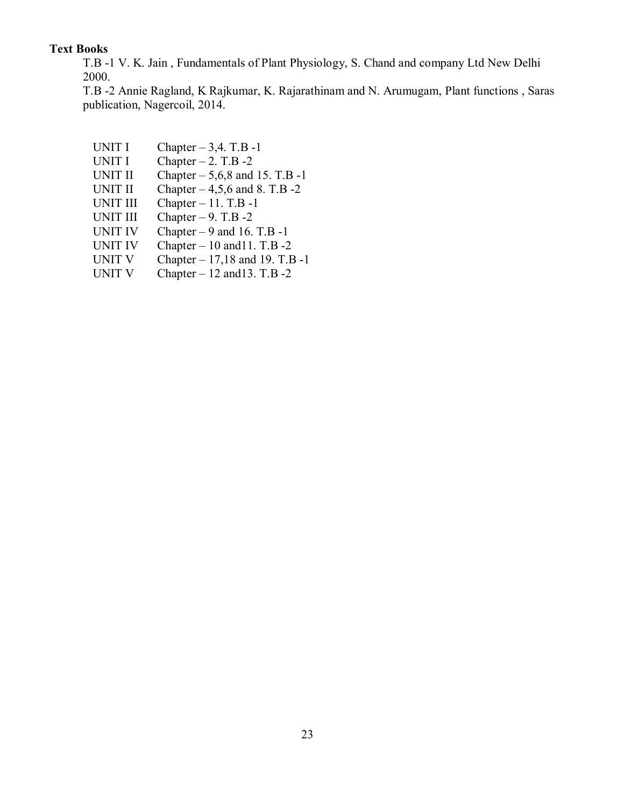# **Text Books**

T.B -1 V. K. Jain , Fundamentals of Plant Physiology, S. Chand and company Ltd New Delhi 2000.

T.B -2 Annie Ragland, K Rajkumar, K. Rajarathinam and N. Arumugam, Plant functions , Saras publication, Nagercoil, 2014.

- UNIT I Chapter  $-3,4$ . T.B -1
- UNIT I Chapter  $-2$ . T.B  $-2$
- UNIT II Chapter  $-5,6,8$  and 15. T.B -1
- UNIT II Chapter  $-4,5,6$  and 8. T.B  $-2$
- UNIT III Chapter  $-11$ . T.B  $-1$
- UNIT III Chapter  $-9$ . T.B  $-2$
- UNIT IV Chapter  $-9$  and 16. T.B -1
- UNIT IV Chapter  $-10$  and 11. T.B  $-2$
- UNIT V Chapter 17,18 and 19. T.B -1<br>UNIT V Chapter 12 and 13. T.B -2
- Chapter 12 and 13. T.B -2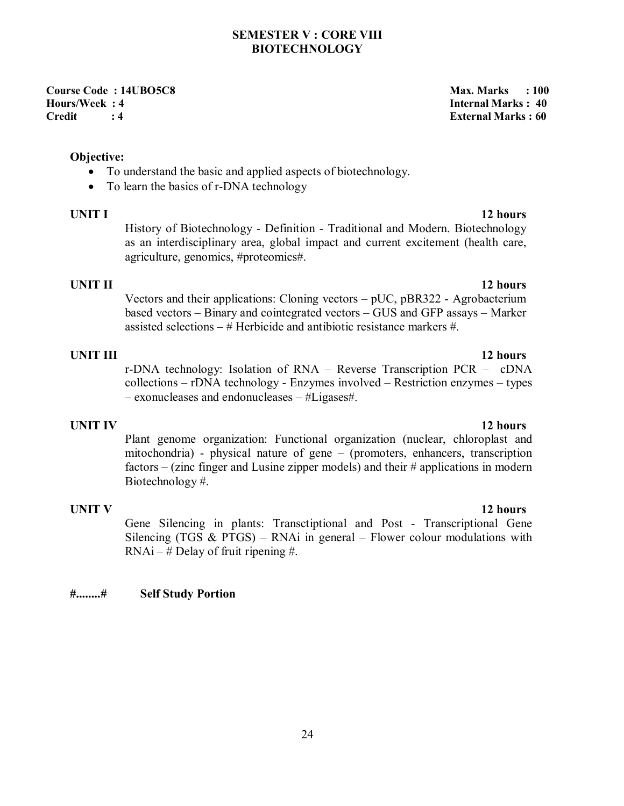### **SEMESTER V : CORE VIII BIOTECHNOLOGY**

**Course Code : 14UBO5C8 Max. Marks : 100 Max. Marks : 100 Max. Marks : 100 Max. Marks : 100 Max. Marks : 100 Max. Marks : 100 Max. Marks : 100 Max. Marks : 100 Max. Marks : 100 Max. Marks : 100 Max. Marks : 100 Max. Marks Hours/Week : 4 Internal Marks : 40 Credit : 4 External Marks : 60** 

**Objective:** 

- To understand the basic and applied aspects of biotechnology.
- To learn the basics of r-DNA technology

**UNIT I** 12 hours History of Biotechnology - Definition - Traditional and Modern. Biotechnology as an interdisciplinary area, global impact and current excitement (health care, agriculture, genomics, #proteomics#.

**UNIT II** 12 hours Vectors and their applications: Cloning vectors – pUC, pBR322 - Agrobacterium based vectors – Binary and cointegrated vectors – GUS and GFP assays – Marker assisted selections  $-\#$  Herbicide and antibiotic resistance markers  $\#$ .

**UNIT III 12 hours** r-DNA technology: Isolation of RNA – Reverse Transcription PCR – cDNA collections – rDNA technology - Enzymes involved – Restriction enzymes – types – exonucleases and endonucleases – #Ligases#.

**UNIT IV 12 hours** Plant genome organization: Functional organization (nuclear, chloroplast and mitochondria) - physical nature of gene – (promoters, enhancers, transcription factors – (zinc finger and Lusine zipper models) and their # applications in modern Biotechnology #.

**UNIT V** 12 hours Gene Silencing in plants: Transctiptional and Post - Transcriptional Gene Silencing (TGS  $&$  PTGS) – RNAi in general – Flower colour modulations with  $RNAi - #$  Delay of fruit ripening #.

### **#........# Self Study Portion**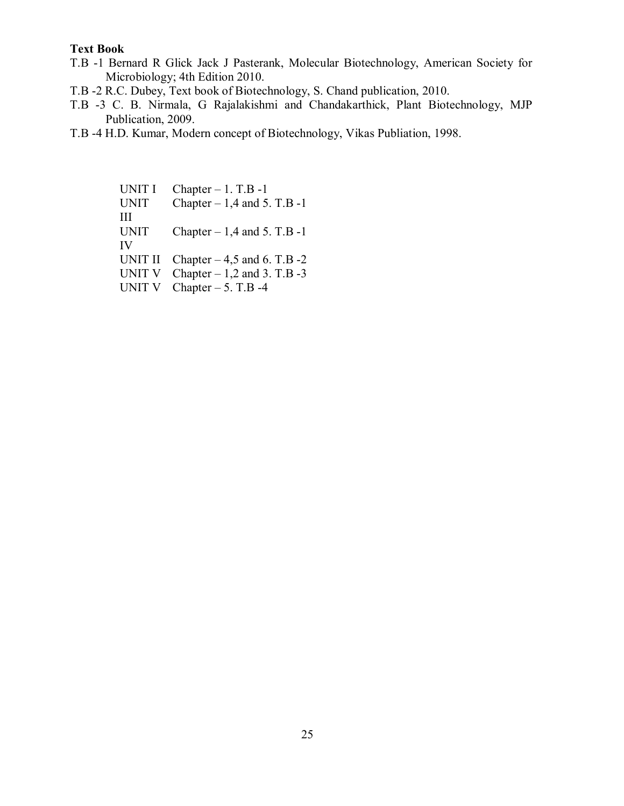### **Text Book**

- T.B -1 Bernard R Glick Jack J Pasterank, Molecular Biotechnology, American Society for Microbiology; 4th Edition 2010.
- T.B -2 R.C. Dubey, Text book of Biotechnology, S. Chand publication, 2010.
- T.B -3 C. B. Nirmala, G Rajalakishmi and Chandakarthick, Plant Biotechnology, MJP Publication, 2009.
- T.B -4 H.D. Kumar, Modern concept of Biotechnology, Vikas Publiation, 1998.

UNIT I Chapter  $-1$ . T.B  $-1$ UNIT III Chapter  $-1,4$  and 5. T.B -1 UNIT IV Chapter  $-1,4$  and 5. T.B  $-1$ UNIT II Chapter  $-4,5$  and 6. T.B  $-2$ UNIT V Chapter  $-1,2$  and 3. T.B  $-3$ UNIT V Chapter  $-5$ . T.B -4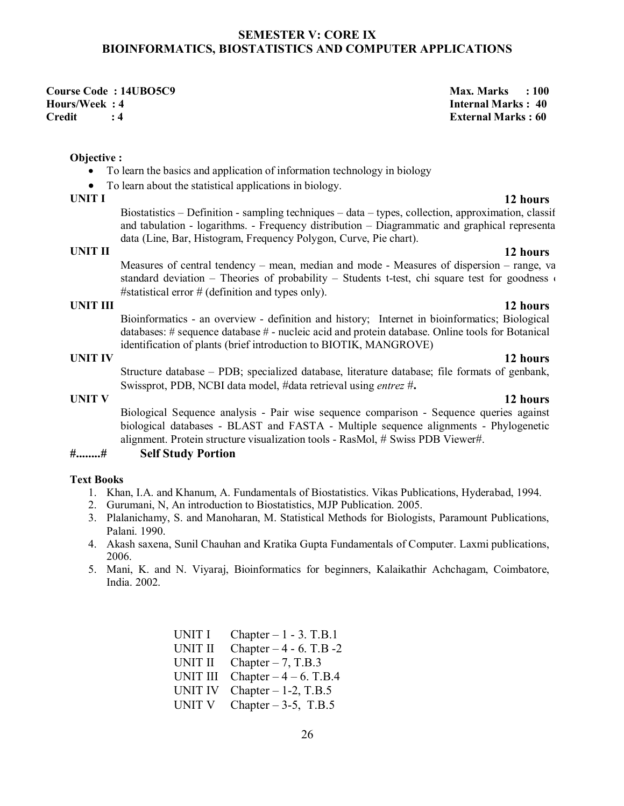### **SEMESTER V: CORE IX BIOINFORMATICS, BIOSTATISTICS AND COMPUTER APPLICATIONS**

**Course Code : 14UBO5C9** Max. Marks : 100 **Hours/Week : 4 Internal Marks : 40 Credit : 4 External Marks : 60** 

**Objective :**

- To learn the basics and application of information technology in biology
- To learn about the statistical applications in biology.<br>UNIT I

**UNIT I 12 hours** Biostatistics – Definition - sampling techniques – data – types, collection, approximation, classif and tabulation - logarithms. - Frequency distribution  $-$  Diagrammatic and graphical representa data (Line, Bar, Histogram, Frequency Polygon, Curve, Pie chart).

**UNIT II 12 hours** Measures of central tendency – mean, median and mode - Measures of dispersion – range, variance, we standard deviation – Theories of probability – Students t-test, chi square test for goodness  $\epsilon$ #statistical error  $#$  (definition and types only).

**UNIT III 12 hours** Bioinformatics - an overview - definition and history; Internet in bioinformatics; Biological databases: # sequence database # - nucleic acid and protein database. Online tools for Botanical identification of plants (brief introduction to BIOTIK, MANGROVE)

Structure database – PDB; specialized database, literature database; file formats of genbank, Swissprot, PDB, NCBI data model, #data retrieval using *entrez* #**.**

Biological Sequence analysis - Pair wise sequence comparison - Sequence queries against biological databases - BLAST and FASTA - Multiple sequence alignments - Phylogenetic alignment. Protein structure visualization tools - RasMol, # Swiss PDB Viewer#.

# **#........# Self Study Portion**

### **Text Books**

- 1. Khan, I.A. and Khanum, A. Fundamentals of Biostatistics. Vikas Publications, Hyderabad, 1994.
- 2. Gurumani, N, An introduction to Biostatistics, MJP Publication. 2005.
- 3. Plalanichamy, S. and Manoharan, M. Statistical Methods for Biologists, Paramount Publications, Palani. 1990.
- 4. Akash saxena, Sunil Chauhan and Kratika Gupta Fundamentals of Computer. Laxmi publications, 2006.
- 5. Mani, K. and N. Viyaraj, Bioinformatics for beginners, Kalaikathir Achchagam, Coimbatore, India. 2002.

UNIT I Chapter  $-1 - 3$ . T.B.1 UNIT II Chapter  $-4 - 6$ . T.B  $-2$ UNIT II Chapter  $-7$ , T.B.3 UNIT III Chapter  $-4 - 6$ . T.B.4 UNIT IV Chapter  $-1-2$ , T.B.5 UNIT V Chapter  $-3-5$ , T.B.5

### **UNIT IV 12 hours**

# **UNIT V 12 hours**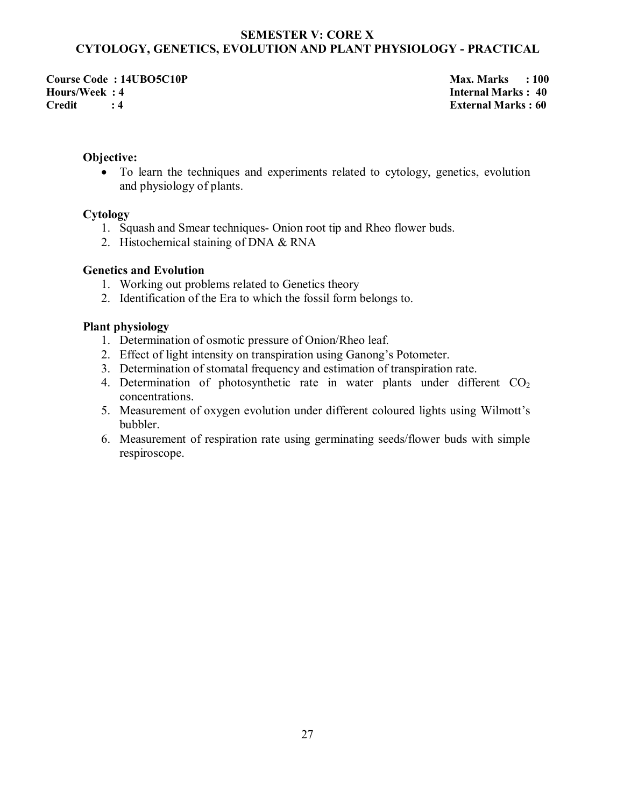### **SEMESTER V: CORE X CYTOLOGY, GENETICS, EVOLUTION AND PLANT PHYSIOLOGY - PRACTICAL**

**Course Code : 14UBO5C10P** Max. Marks : 100 **Hours/Week : 4 Internal Marks : 40 Credit : 4 External Marks : 60** 

### **Objective:**

 To learn the techniques and experiments related to cytology, genetics, evolution and physiology of plants.

### **Cytology**

- 1. Squash and Smear techniques- Onion root tip and Rheo flower buds.
- 2. Histochemical staining of DNA & RNA

### **Genetics and Evolution**

- 1. Working out problems related to Genetics theory
- 2. Identification of the Era to which the fossil form belongs to.

### **Plant physiology**

- 1. Determination of osmotic pressure of Onion/Rheo leaf.
- 2. Effect of light intensity on transpiration using Ganong's Potometer.
- 3. Determination of stomatal frequency and estimation of transpiration rate.
- 4. Determination of photosynthetic rate in water plants under different  $CO<sub>2</sub>$ concentrations.
- 5. Measurement of oxygen evolution under different coloured lights using Wilmott's bubbler.
- 6. Measurement of respiration rate using germinating seeds/flower buds with simple respiroscope.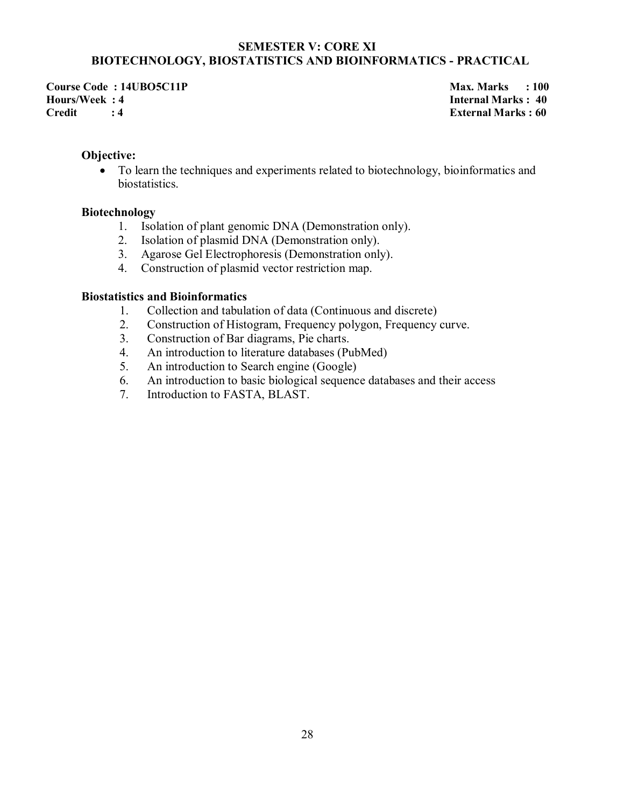### **SEMESTER V: CORE XI BIOTECHNOLOGY, BIOSTATISTICS AND BIOINFORMATICS - PRACTICAL**

**Course Code : 14UBO5C11P** Max. Marks : 100 **Hours/Week : 4 Internal Marks : 40 Credit : 4 External Marks : 60** 

### **Objective:**

 To learn the techniques and experiments related to biotechnology, bioinformatics and biostatistics.

### **Biotechnology**

- 1. Isolation of plant genomic DNA (Demonstration only).
- 2. Isolation of plasmid DNA (Demonstration only).
- 3. Agarose Gel Electrophoresis (Demonstration only).
- 4. Construction of plasmid vector restriction map.

### **Biostatistics and Bioinformatics**

- 1. Collection and tabulation of data (Continuous and discrete)
- 2. Construction of Histogram, Frequency polygon, Frequency curve.
- 3. Construction of Bar diagrams, Pie charts.
- 4. An introduction to literature databases (PubMed)
- 5. An introduction to Search engine (Google)
- 6. An introduction to basic biological sequence databases and their access
- 7. Introduction to FASTA, BLAST.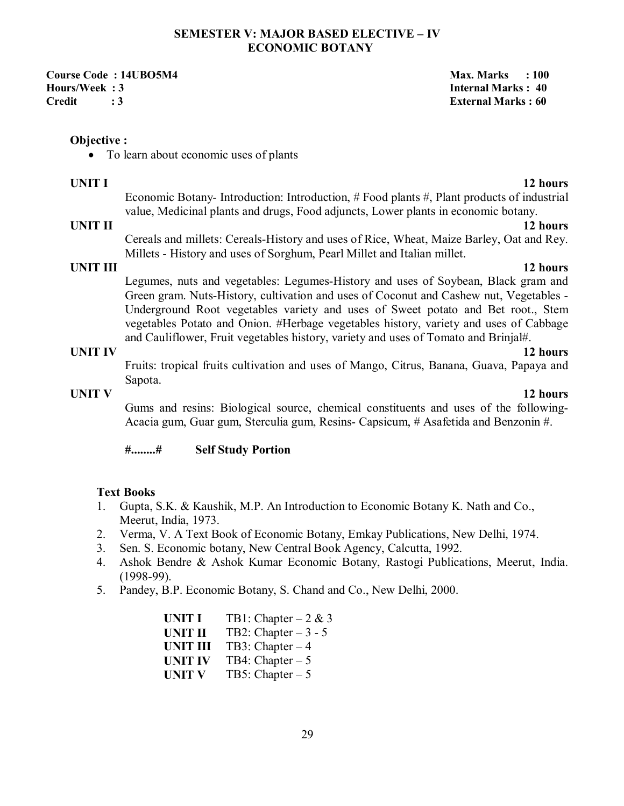### **SEMESTER V: MAJOR BASED ELECTIVE – IV ECONOMIC BOTANY**

**Course Code : 14UBO5M4 Max. Marks : 100 and 200 and 200 and 200 and 200 and 200 and 200 and 200 and 200 and 200 and 200 and 200 and 200 and 200 and 200 and 200 and 200 and 200 and 200 and 200 and 200 and 200 and 200 and 2 Hours/Week : 3 Internal Marks : 40 Credit : 3 External Marks : 60** 

### **Objective :**

• To learn about economic uses of plants

### **UNIT I** 12 hours

Economic Botany- Introduction: Introduction, # Food plants #, Plant products of industrial value, Medicinal plants and drugs, Food adjuncts, Lower plants in economic botany.

### **UNIT II** 12 hours

Cereals and millets: Cereals-History and uses of Rice, Wheat, Maize Barley, Oat and Rey. Millets - History and uses of Sorghum, Pearl Millet and Italian millet.

### **UNIT III 12 hours**

Legumes, nuts and vegetables: Legumes-History and uses of Soybean, Black gram and Green gram. Nuts-History, cultivation and uses of Coconut and Cashew nut, Vegetables - Underground Root vegetables variety and uses of Sweet potato and Bet root., Stem vegetables Potato and Onion. #Herbage vegetables history, variety and uses of Cabbage and Cauliflower, Fruit vegetables history, variety and uses of Tomato and Brinjal#.

# **UNIT IV 12 hours**

Fruits: tropical fruits cultivation and uses of Mango, Citrus, Banana, Guava, Papaya and Sapota.

# **UNIT V** 12 hours

Gums and resins: Biological source, chemical constituents and uses of the following-Acacia gum, Guar gum, Sterculia gum, Resins- Capsicum, # Asafetida and Benzonin #.

**#........# Self Study Portion** 

### **Text Books**

- 1. Gupta, S.K. & Kaushik, M.P. An Introduction to Economic Botany K. Nath and Co., Meerut, India, 1973.
- 2. Verma, V. A Text Book of Economic Botany, Emkay Publications, New Delhi, 1974.
- 3. Sen. S. Economic botany, New Central Book Agency, Calcutta, 1992.
- 4. Ashok Bendre & Ashok Kumar Economic Botany, Rastogi Publications, Meerut, India. (1998-99).
- 5. Pandey, B.P. Economic Botany, S. Chand and Co., New Delhi, 2000.

| <b>UNIT I</b>   | TB1: Chapter $-2 & 3$ |
|-----------------|-----------------------|
| <b>UNIT II</b>  | TB2: Chapter $-3 - 5$ |
| <b>UNIT III</b> | TB3: Chapter $-4$     |
| <b>UNIT IV</b>  | TB4: Chapter $-5$     |
| <b>UNIT V</b>   | TB5: Chapter $-5$     |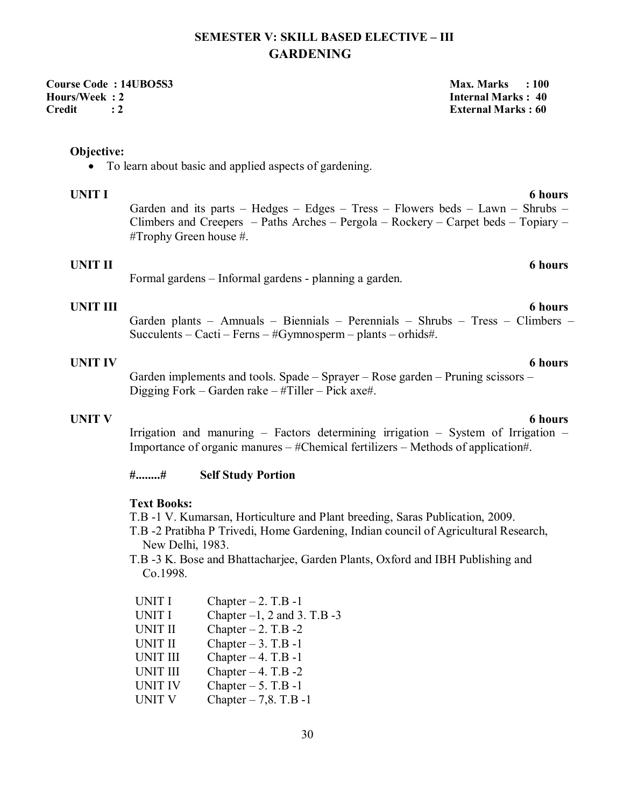# **SEMESTER V: SKILL BASED ELECTIVE – III GARDENING**

**Course Code : 14UBO5S3 Max. Marks : 100 Hours/Week : 2 Internal Marks : 40 Credit : 2 External Marks : 60** 

### **Objective:**

To learn about basic and applied aspects of gardening.

### **UNIT I 6 hours**

Garden and its parts – Hedges – Edges – Tress – Flowers beds – Lawn – Shrubs – Climbers and Creepers – Paths Arches – Pergola – Rockery – Carpet beds – Topiary – #Trophy Green house #.

### **UNIT II** 6 hours

Formal gardens – Informal gardens - planning a garden.

### **UNIT III** 6 hours

Garden plants – Amnuals – Biennials – Perennials – Shrubs – Tress – Climbers – Succulents – Cacti – Ferns – #Gymnosperm – plants – orhids#.

### **UNIT IV** 6 hours

Garden implements and tools. Spade – Sprayer – Rose garden – Pruning scissors – Digging Fork – Garden rake – #Tiller – Pick axe#.

### **UNIT V** 6 hours

Irrigation and manuring – Factors determining irrigation – System of Irrigation – Importance of organic manures – #Chemical fertilizers – Methods of application#.

### **#........# Self Study Portion**

# **Text Books:**

T.B -1 V. Kumarsan, Horticulture and Plant breeding, Saras Publication, 2009.

T.B -2 Pratibha P Trivedi, Home Gardening, Indian council of Agricultural Research, New Delhi, 1983.

T.B -3 K. Bose and Bhattacharjee, Garden Plants, Oxford and IBH Publishing and Co.1998.

| <b>UNIT I</b>   | Chapter $-2$ . T.B -1            |
|-----------------|----------------------------------|
| <b>UNIT I</b>   | Chapter $-1$ , 2 and 3. T.B $-3$ |
| <b>UNIT II</b>  | Chapter $-2$ . T.B $-2$          |
| <b>UNIT II</b>  | Chapter $-3$ . T.B $-1$          |
| <b>UNIT III</b> | Chapter $-4$ . T.B $-1$          |
| <b>UNIT III</b> | Chapter $-4$ . T.B $-2$          |
| <b>UNIT IV</b>  | Chapter $-5$ . T.B -1            |
| <b>UNIT V</b>   | Chapter $-7, 8$ . T.B -1         |
|                 |                                  |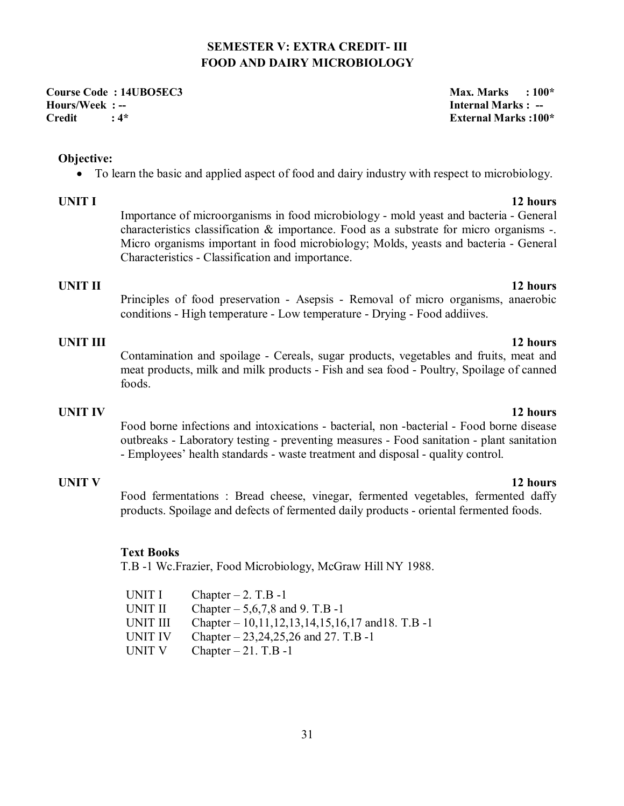# **SEMESTER V: EXTRA CREDIT- III FOOD AND DAIRY MICROBIOLOGY**

**Course Code : 14UBO5EC3** Max. Marks : 100\* **Hours/Week : -- Internal Marks : -- Credit : 4\* External Marks :100\*** 

### **Objective:**

• To learn the basic and applied aspect of food and dairy industry with respect to microbiology.

**UNIT I** 12 hours Importance of microorganisms in food microbiology - mold yeast and bacteria - General characteristics classification  $\&$  importance. Food as a substrate for micro organisms -. Micro organisms important in food microbiology; Molds, yeasts and bacteria - General Characteristics - Classification and importance.

# **UNIT II** 12 hours

Principles of food preservation - Asepsis - Removal of micro organisms, anaerobic conditions - High temperature - Low temperature - Drying - Food addiives.

### **UNIT III** 12 hours

Contamination and spoilage - Cereals, sugar products, vegetables and fruits, meat and meat products, milk and milk products - Fish and sea food - Poultry, Spoilage of canned foods.

# **UNIT IV** 12 hours

Food borne infections and intoxications - bacterial, non -bacterial - Food borne disease outbreaks - Laboratory testing - preventing measures - Food sanitation - plant sanitation - Employees' health standards - waste treatment and disposal - quality control.

Food fermentations : Bread cheese, vinegar, fermented vegetables, fermented daffy products. Spoilage and defects of fermented daily products - oriental fermented foods.

### **Text Books**

T.B -1 Wc.Frazier, Food Microbiology, McGraw Hill NY 1988.

| UNIT I   | Chapter $-2$ . T.B -1                              |
|----------|----------------------------------------------------|
| UNIT II  | Chapter $-5,6,7,8$ and 9. T.B -1                   |
| UNIT III | Chapter – $10,11,12,13,14,15,16,17$ and 18. T.B -1 |
| UNIT IV  | Chapter $-23,24,25,26$ and 27. T.B -1              |
| UNIT V   | Chapter $-21$ . T.B -1                             |

# **UNIT V** 12 hours

31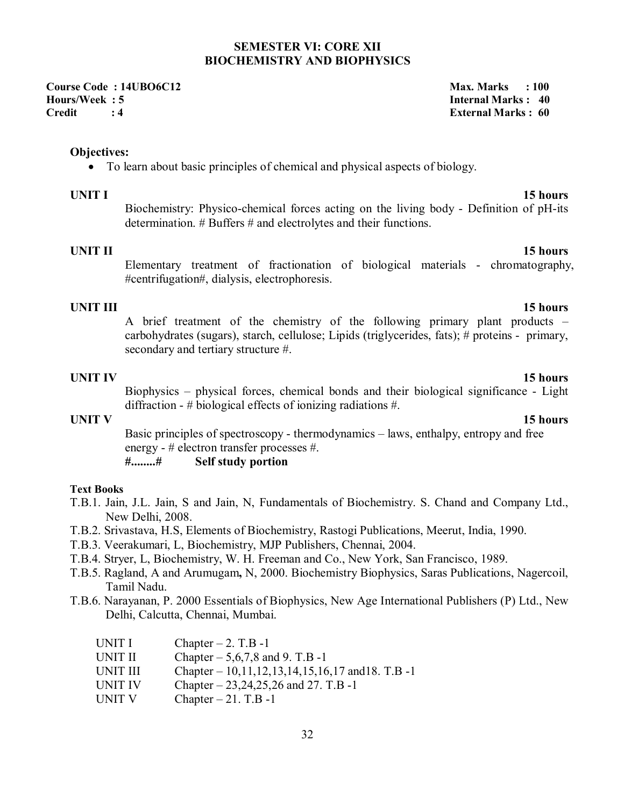### **SEMESTER VI: CORE XII BIOCHEMISTRY AND BIOPHYSICS**

**Course Code : 14UBO6C12** Max. Marks : 100 **Hours/Week : 5 Internal Marks : 40 Credit : 4 External Marks : 60** 

**Objectives:** 

To learn about basic principles of chemical and physical aspects of biology.

**UNIT I** 15 hours Biochemistry: Physico-chemical forces acting on the living body - Definition of pH-its determination. # Buffers # and electrolytes and their functions.

# **UNIT II** 15 hours

Elementary treatment of fractionation of biological materials - chromatography, #centrifugation#, dialysis, electrophoresis.

**UNIT III 15 hours** A brief treatment of the chemistry of the following primary plant products – carbohydrates (sugars), starch, cellulose; Lipids (triglycerides, fats); # proteins - primary, secondary and tertiary structure #.

### **UNIT IV 15 hours**

Biophysics – physical forces, chemical bonds and their biological significance - Light diffraction - # biological effects of ionizing radiations #.

Basic principles of spectroscopy - thermodynamics – laws, enthalpy, entropy and free energy - # electron transfer processes #.

### **#........# Self study portion**

### **Text Books**

- T.B.1. Jain, J.L. Jain, S and Jain, N, Fundamentals of Biochemistry. S. Chand and Company Ltd., New Delhi, 2008.
- T.B.2. Srivastava, H.S, Elements of Biochemistry, Rastogi Publications, Meerut, India, 1990.
- T.B.3. Veerakumari, L, Biochemistry, MJP Publishers, Chennai, 2004.
- T.B.4. Stryer, L, Biochemistry, W. H. Freeman and Co., New York, San Francisco, 1989.
- T.B.5. Ragland, A and Arumugam**,** N, 2000. Biochemistry Biophysics, Saras Publications, Nagercoil, Tamil Nadu.
- T.B.6. Narayanan, P. 2000 Essentials of Biophysics, New Age International Publishers (P) Ltd., New Delhi, Calcutta, Chennai, Mumbai.

| UNIT I         | Chapter $-2$ . T.B -1                             |
|----------------|---------------------------------------------------|
| UNIT II        | Chapter $-5,6,7,8$ and 9. T.B -1                  |
| UNIT III       | Chapter $-10,11,12,13,14,15,16,17$ and 18. T.B -1 |
| <b>UNIT IV</b> | Chapter $-23,24,25,26$ and 27. T.B -1             |
| <b>UNIT V</b>  | Chapter $-21$ . T.B -1                            |
|                |                                                   |

### **UNIT V** 15 hours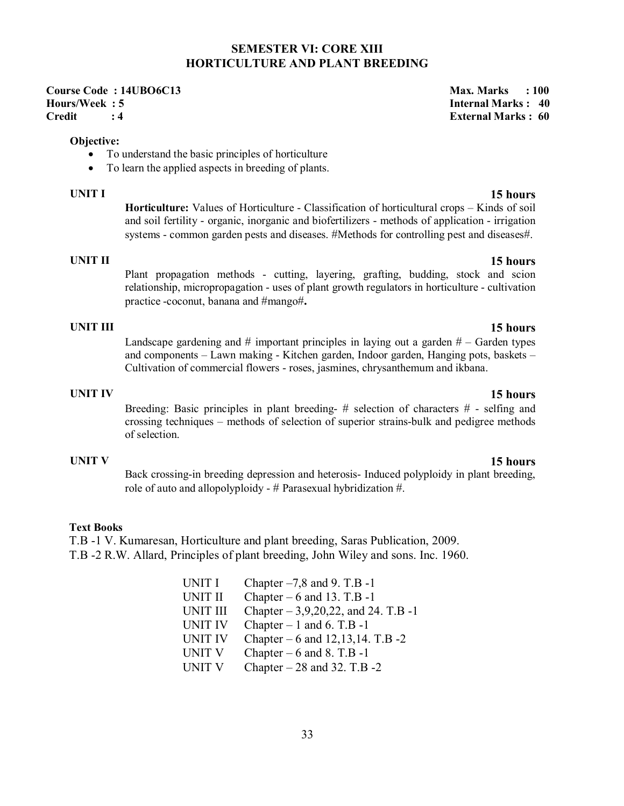### **SEMESTER VI: CORE XIII HORTICULTURE AND PLANT BREEDING**

### **Course Code : 14UBO6C13** Max. Marks : 100 **Hours/Week : 5 Internal Marks : 40 Credit : 4 External Marks : 60**

### **Objective:**

- To understand the basic principles of horticulture
- To learn the applied aspects in breeding of plants.

**UNIT I 15 hours Horticulture:** Values of Horticulture - Classification of horticultural crops – Kinds of soil and soil fertility - organic, inorganic and biofertilizers - methods of application - irrigation systems - common garden pests and diseases. #Methods for controlling pest and diseases#.

**UNIT II 15 hours** Plant propagation methods - cutting, layering, grafting, budding, stock and scion relationship, micropropagation - uses of plant growth regulators in horticulture - cultivation practice -coconut, banana and #mango#**.**

### **UNIT III 15 hours**

Landscape gardening and  $\#$  important principles in laying out a garden  $\#$  – Garden types and components – Lawn making - Kitchen garden, Indoor garden, Hanging pots, baskets – Cultivation of commercial flowers - roses, jasmines, chrysanthemum and ikbana.

### **UNIT IV 15 hours**

Breeding: Basic principles in plant breeding-  $#$  selection of characters  $#$  - selfing and crossing techniques – methods of selection of superior strains-bulk and pedigree methods of selection.

### **UNIT V 15 hours**

Back crossing-in breeding depression and heterosis- Induced polyploidy in plant breeding, role of auto and allopolyploidy -  $#$  Parasexual hybridization  $#$ .

### **Text Books**

T.B -1 V. Kumaresan, Horticulture and plant breeding, Saras Publication, 2009. T.B -2 R.W. Allard, Principles of plant breeding, John Wiley and sons. Inc. 1960.

| UNIT I          | Chapter $-7,8$ and 9. T.B -1          |
|-----------------|---------------------------------------|
| <b>UNIT II</b>  | Chapter $-6$ and 13. T.B -1           |
| <b>UNIT III</b> | Chapter $-3,9,20,22$ , and 24. T.B -1 |
| <b>UNIT IV</b>  | Chapter $-1$ and 6. T.B $-1$          |
| <b>UNIT IV</b>  | Chapter $-6$ and 12,13,14. T.B -2     |
| <b>UNIT V</b>   | Chapter $-6$ and 8. T.B -1            |
| <b>UNIT V</b>   | Chapter $-28$ and 32. T.B $-2$        |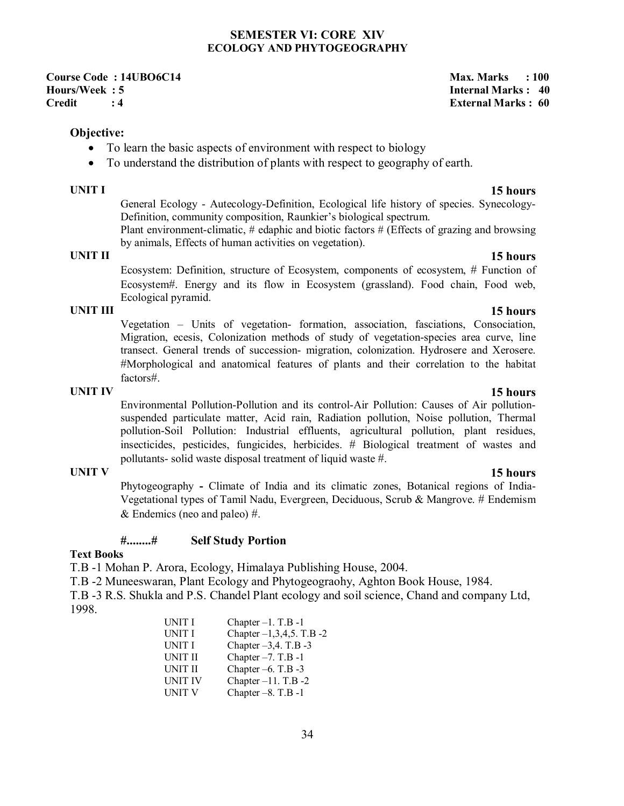### **SEMESTER VI: CORE XIV ECOLOGY AND PHYTOGEOGRAPHY**

**Course Code : 14UBO6C14** Max. Marks : 100 **Hours/Week : 5 Internal Marks : 40 Credit : 4 External Marks : 60** 

### **Objective:**

- To learn the basic aspects of environment with respect to biology
- To understand the distribution of plants with respect to geography of earth.

General Ecology - Autecology-Definition, Ecological life history of species. Synecology-Definition, community composition, Raunkier's biological spectrum.

Plant environment-climatic, # edaphic and biotic factors # (Effects of grazing and browsing by animals, Effects of human activities on vegetation).

Ecosystem: Definition, structure of Ecosystem, components of ecosystem, # Function of Ecosystem#. Energy and its flow in Ecosystem (grassland). Food chain, Food web, Ecological pyramid.

### **UNIT III 15 hours**

Vegetation – Units of vegetation- formation, association, fasciations, Consociation, Migration, ecesis, Colonization methods of study of vegetation-species area curve, line transect. General trends of succession- migration, colonization. Hydrosere and Xerosere. #Morphological and anatomical features of plants and their correlation to the habitat factors#.

### **UNIT IV 15 hours**

Environmental Pollution-Pollution and its control-Air Pollution: Causes of Air pollutionsuspended particulate matter, Acid rain, Radiation pollution, Noise pollution, Thermal pollution-Soil Pollution: Industrial effluents, agricultural pollution, plant residues, insecticides, pesticides, fungicides, herbicides. # Biological treatment of wastes and pollutants- solid waste disposal treatment of liquid waste #.

### **UNIT V 15 hours**

Phytogeography **-** Climate of India and its climatic zones, Botanical regions of India-Vegetational types of Tamil Nadu, Evergreen, Deciduous, Scrub & Mangrove. # Endemism  $&$  Endemics (neo and paleo) #.

### **#........# Self Study Portion**

### **Text Books**

T.B -1 Mohan P. Arora, Ecology, Himalaya Publishing House, 2004.

T.B -2 Muneeswaran, Plant Ecology and Phytogeograohy, Aghton Book House, 1984.

T.B -3 R.S. Shukla and P.S. Chandel Plant ecology and soil science, Chand and company Ltd, 1998.

> UNIT I Chapter  $-1$ . T.B  $-1$ UNIT I Chapter  $-1,3,4,5$ . T.B  $-2$ UNIT I Chapter  $-3,4$ . T.B  $-3$ UNIT II Chapter  $-7$ . T.B  $-1$ UNIT II Chapter –6. T.B -3 UNIT IV Chapter  $-11$ . T.B  $-2$ UNIT V Chapter  $-8$ . T.B  $-1$

### **UNIT I 15 hours**

# **UNIT II 15 hours**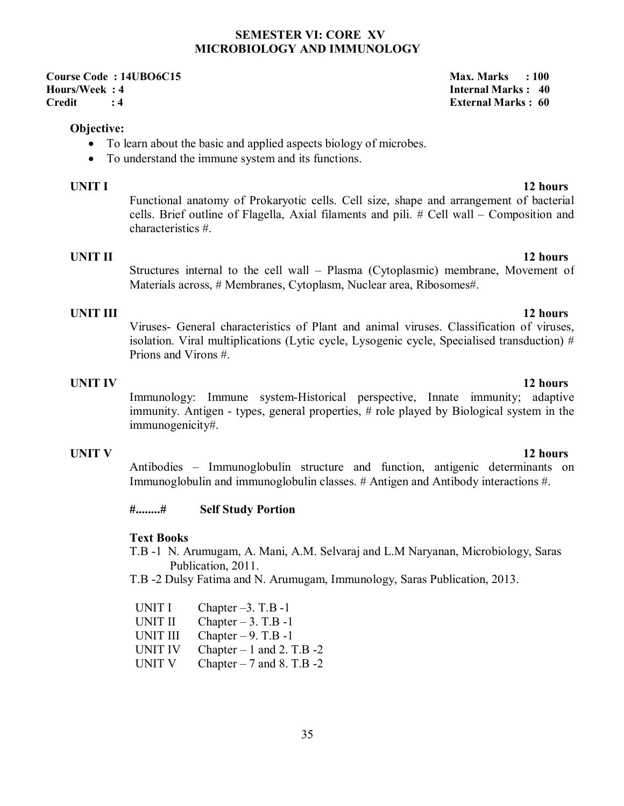### **SEMESTER VI: CORE XV MICROBIOLOGY AND IMMUNOLOGY**

**Course Code : 14UBO6C15** Max. Marks : 100 **Hours/Week : 4 Internal Marks : 40 Credit : 4 External Marks : 60** 

### **Objective:**

- To learn about the basic and applied aspects biology of microbes.
- To understand the immune system and its functions.

### **UNIT I** 12 hours

Functional anatomy of Prokaryotic cells. Cell size, shape and arrangement of bacterial cells. Brief outline of Flagella, Axial filaments and pili. # Cell wall – Composition and characteristics #.

### **UNIT II** 12 hours

Structures internal to the cell wall – Plasma (Cytoplasmic) membrane, Movement of Materials across, # Membranes, Cytoplasm, Nuclear area, Ribosomes#.

### **UNIT III** 12 hours

Viruses- General characteristics of Plant and animal viruses. Classification of viruses, isolation. Viral multiplications (Lytic cycle, Lysogenic cycle, Specialised transduction) # Prions and Virons #.

### **UNIT IV** 12 hours

Immunology: Immune system-Historical perspective, Innate immunity; adaptive immunity. Antigen - types, general properties, # role played by Biological system in the immunogenicity#.

### **UNIT V** 12 hours

Antibodies – Immunoglobulin structure and function, antigenic determinants on Immunoglobulin and immunoglobulin classes. # Antigen and Antibody interactions #.

### **#........# Self Study Portion**

### **Text Books**

- T.B -1 N. Arumugam, A. Mani, A.M. Selvaraj and L.M Naryanan, Microbiology, Saras Publication, 2011.
- T.B -2 Dulsy Fatima and N. Arumugam, Immunology, Saras Publication, 2013.

| UNIT I          | Chapter $-3$ . T.B -1        |
|-----------------|------------------------------|
| <b>UNIT II</b>  | Chapter $-3$ . T.B $-1$      |
| <b>UNIT III</b> | Chapter $-9$ . T.B -1        |
| <b>UNIT IV</b>  | Chapter $-1$ and 2. T.B $-2$ |
| <b>UNIT V</b>   | Chapter $-7$ and 8. T.B $-2$ |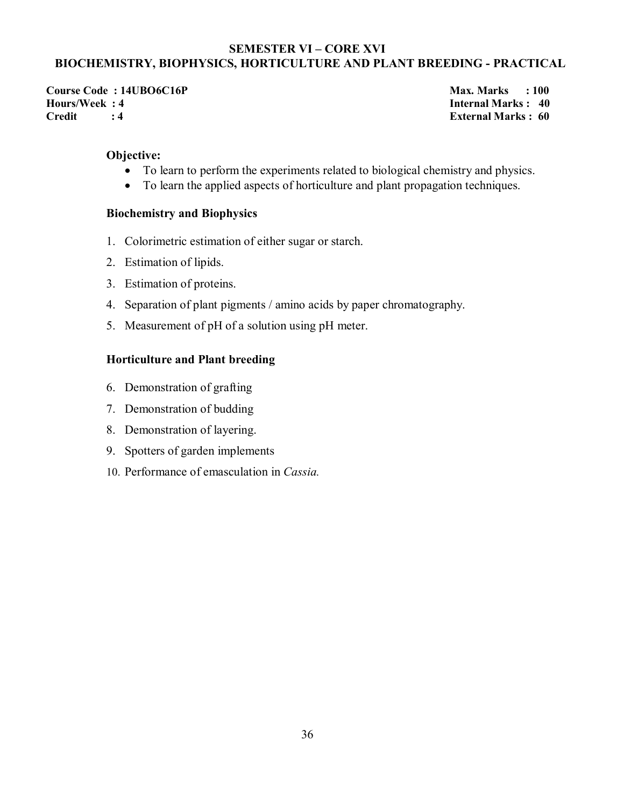### **SEMESTER VI – CORE XVI BIOCHEMISTRY, BIOPHYSICS, HORTICULTURE AND PLANT BREEDING - PRACTICAL**

Course Code : 14UBO6C16P<br>
Hours/Week : 4 **Max. Marks : 100**<br>
Hours/Week : 4 **Max. Marks : 40 Credit : 4 External Marks : 60** 

**Internal Marks : 40** 

### **Objective:**

- To learn to perform the experiments related to biological chemistry and physics.
- To learn the applied aspects of horticulture and plant propagation techniques.

### **Biochemistry and Biophysics**

- 1. Colorimetric estimation of either sugar or starch.
- 2. Estimation of lipids.
- 3. Estimation of proteins.
- 4. Separation of plant pigments / amino acids by paper chromatography.
- 5. Measurement of pH of a solution using pH meter.

### **Horticulture and Plant breeding**

- 6. Demonstration of grafting
- 7. Demonstration of budding
- 8. Demonstration of layering.
- 9. Spotters of garden implements
- 10. Performance of emasculation in *Cassia.*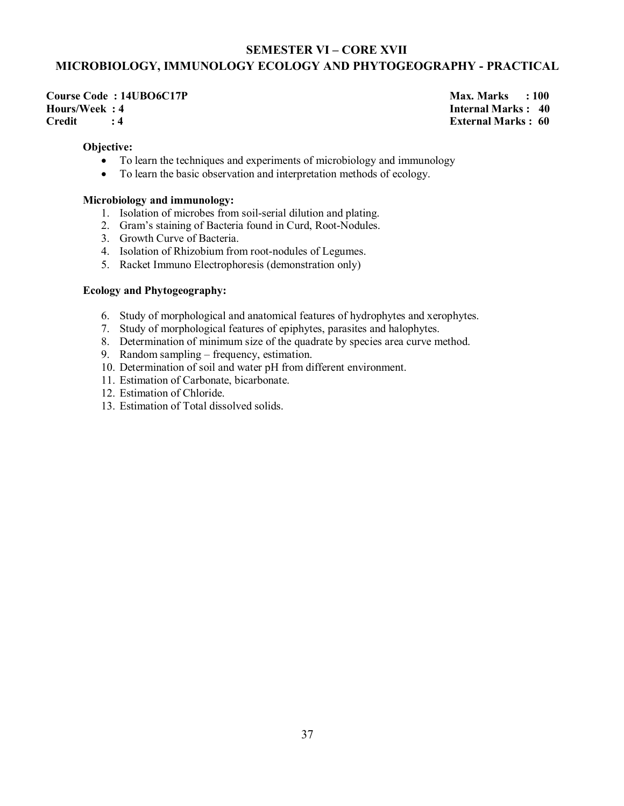# **SEMESTER VI – CORE XVII MICROBIOLOGY, IMMUNOLOGY ECOLOGY AND PHYTOGEOGRAPHY - PRACTICAL**

**Course Code : 14UBO6C17P** Max. Marks : 100 **Hours/Week : 4 Internal Marks : 40 Credit : 4 External Marks : 60** 

### **Objective:**

- To learn the techniques and experiments of microbiology and immunology
- To learn the basic observation and interpretation methods of ecology.

### **Microbiology and immunology:**

- 1. Isolation of microbes from soil-serial dilution and plating.
- 2. Gram's staining of Bacteria found in Curd, Root-Nodules.
- 3. Growth Curve of Bacteria.
- 4. Isolation of Rhizobium from root-nodules of Legumes.
- 5. Racket Immuno Electrophoresis (demonstration only)

### **Ecology and Phytogeography:**

- 6. Study of morphological and anatomical features of hydrophytes and xerophytes.
- 7. Study of morphological features of epiphytes, parasites and halophytes.
- 8. Determination of minimum size of the quadrate by species area curve method.
- 9. Random sampling frequency, estimation.
- 10. Determination of soil and water pH from different environment.
- 11. Estimation of Carbonate, bicarbonate.
- 12. Estimation of Chloride.
- 13. Estimation of Total dissolved solids.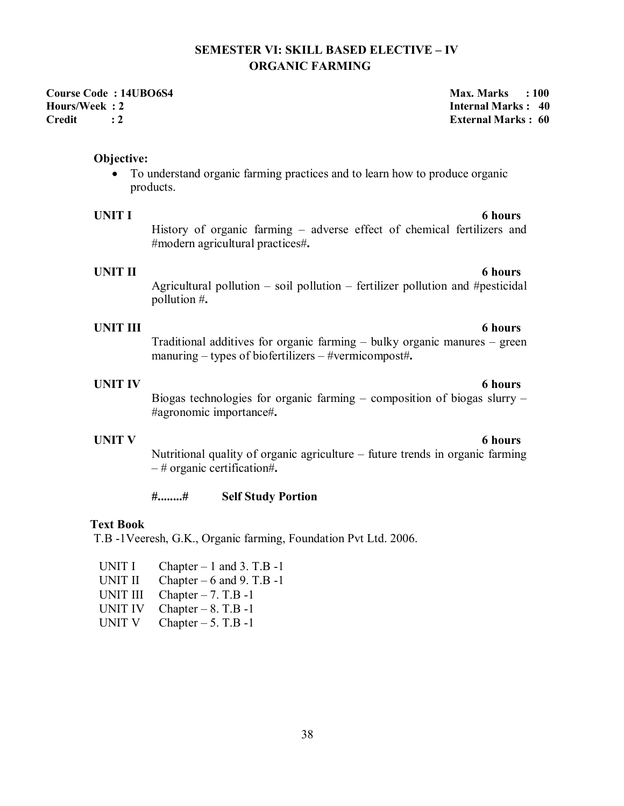# **SEMESTER VI: SKILL BASED ELECTIVE – IV ORGANIC FARMING**

**Course Code : 14UBO6S4 Max. Marks : 100 Max. Marks : 100 Hours/Week : 2 Internal Marks : 40 Credit : 2 External Marks : 60** 

### **Objective:**

 To understand organic farming practices and to learn how to produce organic products.

History of organic farming – adverse effect of chemical fertilizers and #modern agricultural practices#**.**

# **UNIT II** 6 hours

Agricultural pollution – soil pollution – fertilizer pollution and #pesticidal pollution #**.**

### **UNIT III 6 hours**

Traditional additives for organic farming – bulky organic manures – green manuring – types of biofertilizers – #vermicompost#**.**

### **UNIT IV 6 hours**

Biogas technologies for organic farming – composition of biogas slurry – #agronomic importance#**.**

### **UNIT V** 6 hours

# Nutritional quality of organic agriculture – future trends in organic farming – # organic certification#**.**

### **#........# Self Study Portion**

### **Text Book**

T.B -1Veeresh, G.K., Organic farming, Foundation Pvt Ltd. 2006.

- UNIT I Chapter  $-1$  and 3. T.B  $-1$
- UNIT II Chapter  $-6$  and 9. T.B -1
- UNIT III Chapter  $-7$ . T.B  $-1$
- UNIT IV Chapter  $-8$ . T.B -1
- UNIT V Chapter  $-5$ . T.B -1

# **UNIT I** 6 hours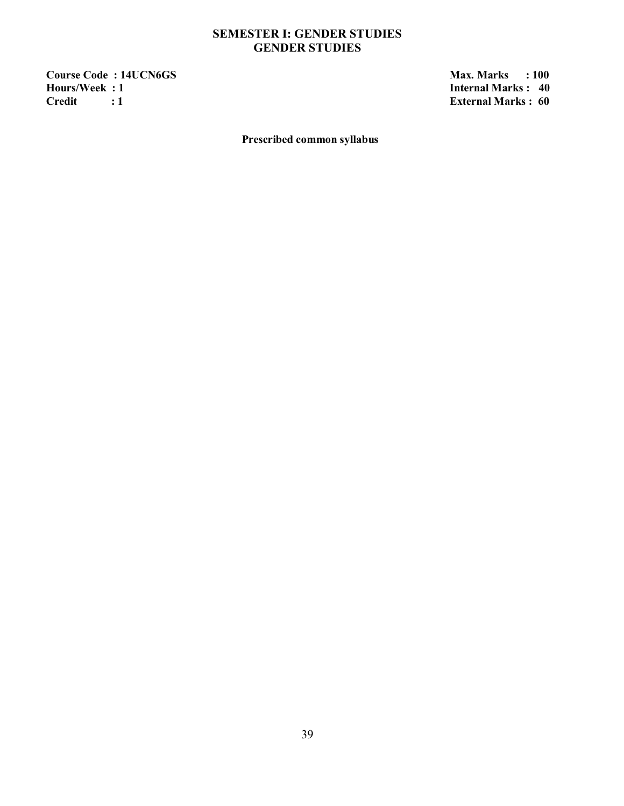# **SEMESTER I: GENDER STUDIES GENDER STUDIES**

**Course Code : 14UCN6GS** Max. Marks : 100 Max. Marks : 100 Max. Marks : 100 Max. Marks : 100 Max. Marks : 40 **Hours/Week : 1**<br>Credit : 1 **Internal Marks : 40** 

**External Marks : 60** 

**Prescribed common syllabus**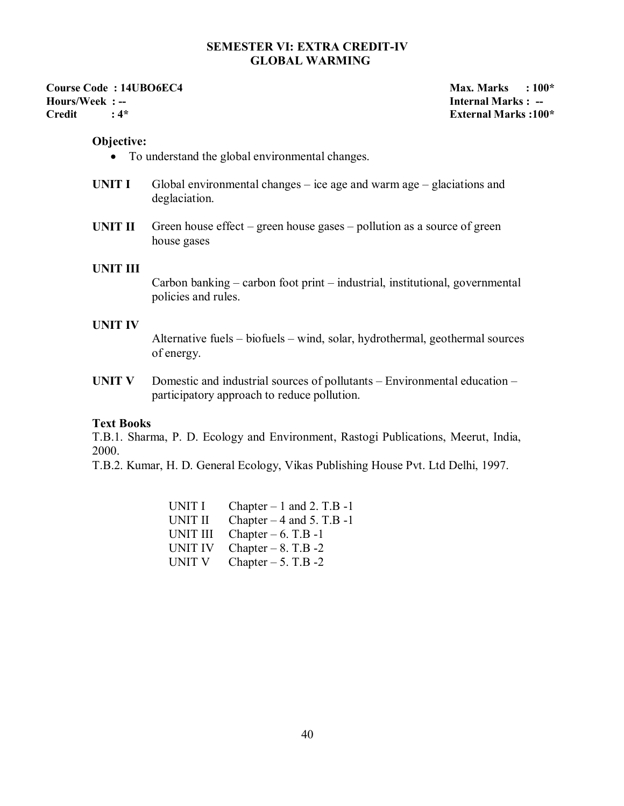### **SEMESTER VI: EXTRA CREDIT-IV GLOBAL WARMING**

**Course Code : 14UBO6EC4** Max. Marks : 100\* **Hours/Week : -- Internal Marks : -- Credit : 4\* External Marks :100\*** 

### **Objective:**

- To understand the global environmental changes.
- **UNIT I** Global environmental changes ice age and warm age glaciations and deglaciation.
- **UNIT II** Green house effect green house gases pollution as a source of green house gases

### **UNIT III**

Carbon banking – carbon foot print – industrial, institutional, governmental policies and rules.

### **UNIT IV**

Alternative fuels – biofuels – wind, solar, hydrothermal, geothermal sources of energy.

**UNIT V** Domestic and industrial sources of pollutants – Environmental education – participatory approach to reduce pollution.

### **Text Books**

T.B.1. Sharma, P. D. Ecology and Environment, Rastogi Publications, Meerut, India, 2000.

T.B.2. Kumar, H. D. General Ecology, Vikas Publishing House Pvt. Ltd Delhi, 1997.

| UNIT I         | Chapter $-1$ and 2. T.B $-1$ |
|----------------|------------------------------|
| <b>UNIT II</b> | Chapter $-4$ and 5. T.B $-1$ |
| UNIT III       | Chapter $-6$ . T.B -1        |
| UNIT IV        | Chapter $-8$ . T.B $-2$      |
| <b>UNIT V</b>  | Chapter $-5$ . T.B $-2$      |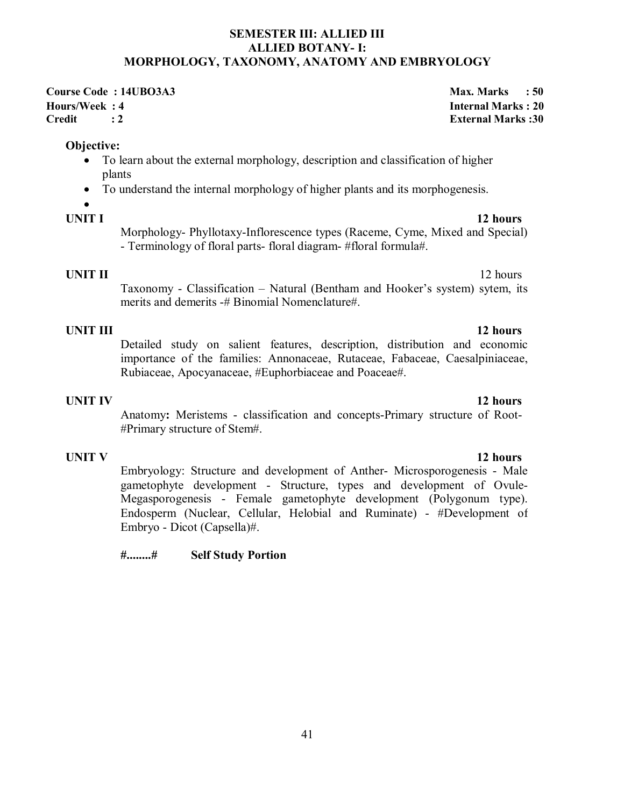### **SEMESTER III: ALLIED III ALLIED BOTANY- I: MORPHOLOGY, TAXONOMY, ANATOMY AND EMBRYOLOGY**

**Course Code : 14UBO3A3** Max. Marks : 50 **Hours/Week : 4 Internal Marks : 20 Credit : 2 External Marks :30** 

### **Objective:**

- To learn about the external morphology, description and classification of higher plants
- To understand the internal morphology of higher plants and its morphogenesis.

# $\bullet$

# **UNIT I** 12 hours

Morphology- Phyllotaxy-Inflorescence types (Raceme, Cyme, Mixed and Special) - Terminology of floral parts- floral diagram- #floral formula#.

**UNIT II** 12 hours Taxonomy - Classification – Natural (Bentham and Hooker's system) sytem, its merits and demerits -# Binomial Nomenclature#.

**UNIT III 12 hours** Detailed study on salient features, description, distribution and economic importance of the families: Annonaceae, Rutaceae, Fabaceae, Caesalpiniaceae, Rubiaceae, Apocyanaceae, #Euphorbiaceae and Poaceae#.

**UNIT IV 12 hours** Anatomy**:** Meristems - classification and concepts-Primary structure of Root- #Primary structure of Stem#.

# **UNIT V** 12 hours

Embryology: Structure and development of Anther- Microsporogenesis - Male gametophyte development - Structure, types and development of Ovule-Megasporogenesis - Female gametophyte development (Polygonum type). Endosperm (Nuclear, Cellular, Helobial and Ruminate) - #Development of Embryo - Dicot (Capsella)#.

**#........# Self Study Portion**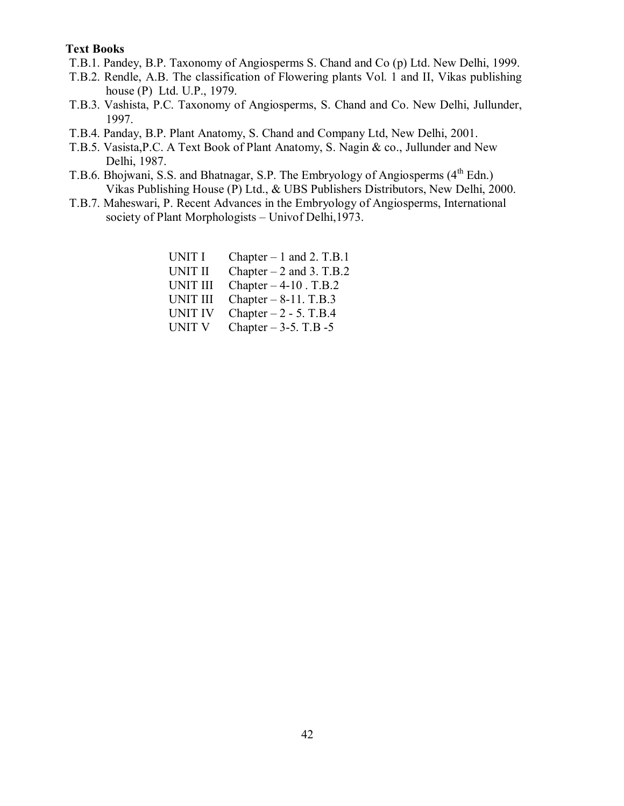### **Text Books**

- T.B.1. Pandey, B.P. Taxonomy of Angiosperms S. Chand and Co (p) Ltd. New Delhi, 1999.
- T.B.2. Rendle, A.B. The classification of Flowering plants Vol. 1 and II, Vikas publishing house (P) Ltd. U.P., 1979.
- T.B.3. Vashista, P.C. Taxonomy of Angiosperms, S. Chand and Co. New Delhi, Jullunder, 1997.
- T.B.4. Panday, B.P. Plant Anatomy, S. Chand and Company Ltd, New Delhi, 2001.
- T.B.5. Vasista,P.C. A Text Book of Plant Anatomy, S. Nagin & co., Jullunder and New Delhi, 1987.
- T.B.6. Bhojwani, S.S. and Bhatnagar, S.P. The Embryology of Angiosperms  $(4<sup>th</sup> Edn.)$ Vikas Publishing House (P) Ltd., & UBS Publishers Distributors, New Delhi, 2000.
- T.B.7. Maheswari, P. Recent Advances in the Embryology of Angiosperms, International society of Plant Morphologists – Univof Delhi,1973.

| <b>UNIT I</b>   | Chapter $-1$ and 2. T.B.1 |
|-----------------|---------------------------|
| <b>UNIT II</b>  | Chapter $-2$ and 3. T.B.2 |
| <b>UNIT III</b> | Chapter $-4-10$ . T.B.2   |
| <b>UNIT III</b> | Chapter $-8-11$ . T.B.3   |
| <b>UNIT IV</b>  | Chapter $-2$ - 5. T.B.4   |
| <b>UNIT V</b>   | Chapter $-3-5$ . T.B $-5$ |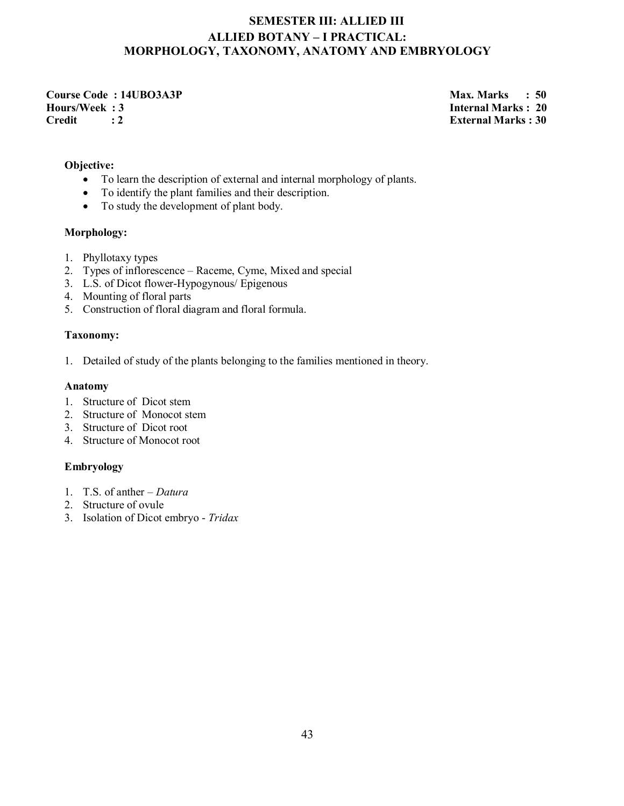# **SEMESTER III: ALLIED III ALLIED BOTANY – I PRACTICAL: MORPHOLOGY, TAXONOMY, ANATOMY AND EMBRYOLOGY**

**Course Code : 14UBO3A3P** Max. Marks : 50 **Hours/Week : 3 Internal Marks : 20 Credit : 2 External Marks : 30** 

### **Objective:**

- To learn the description of external and internal morphology of plants.
- To identify the plant families and their description.
- To study the development of plant body.

### **Morphology:**

- 1. Phyllotaxy types
- 2. Types of inflorescence Raceme, Cyme, Mixed and special
- 3. L.S. of Dicot flower-Hypogynous/ Epigenous
- 4. Mounting of floral parts
- 5. Construction of floral diagram and floral formula.

### **Taxonomy:**

1. Detailed of study of the plants belonging to the families mentioned in theory.

### **Anatomy**

- 1. Structure of Dicot stem
- 2. Structure of Monocot stem
- 3. Structure of Dicot root
- 4. Structure of Monocot root

### **Embryology**

- 1. T.S. of anther *Datura*
- 2. Structure of ovule
- 3. Isolation of Dicot embryo *Tridax*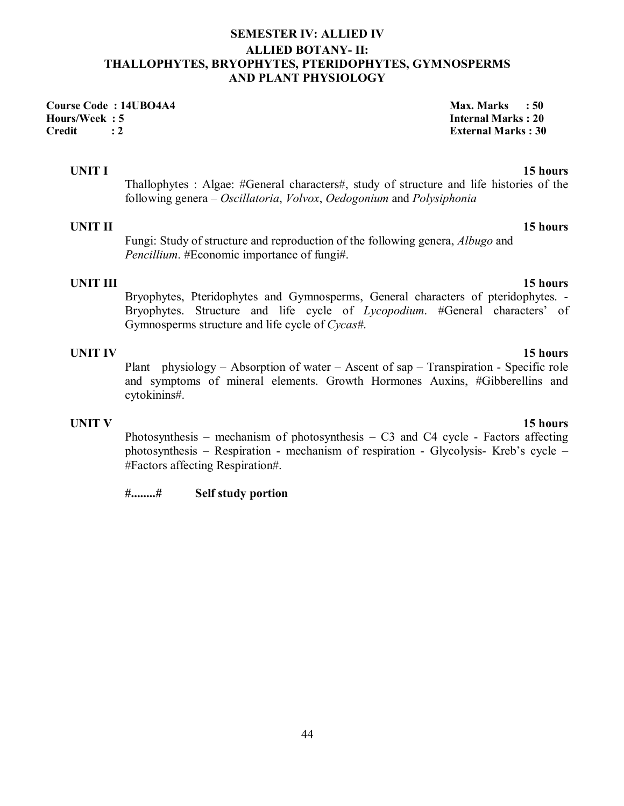# **SEMESTER IV: ALLIED IV ALLIED BOTANY- II: THALLOPHYTES, BRYOPHYTES, PTERIDOPHYTES, GYMNOSPERMS AND PLANT PHYSIOLOGY**

**Course Code : 14UBO4A4 Max. Marks : 50** *Max. Marks* **: 50 Hours/Week : 5 Internal Marks : 20 Credit : 2 External Marks : 30** 

# **UNIT I** 15 hours

Thallophytes : Algae: #General characters#, study of structure and life histories of the following genera – *Oscillatoria*, *Volvox*, *Oedogonium* and *Polysiphonia*

### **UNIT II** 15 hours

Fungi: Study of structure and reproduction of the following genera, *Albugo* and *Pencillium*. #Economic importance of fungi#.

**UNIT III 15 hours** Bryophytes, Pteridophytes and Gymnosperms, General characters of pteridophytes. - Bryophytes. Structure and life cycle of *Lycopodium*. #General characters' of Gymnosperms structure and life cycle of *Cycas#*.

**UNIT IV 15 hours** Plant physiology – Absorption of water – Ascent of sap – Transpiration - Specific role and symptoms of mineral elements. Growth Hormones Auxins, #Gibberellins and cytokinins#.

# **UNIT V** 15 hours

Photosynthesis – mechanism of photosynthesis –  $C3$  and  $C4$  cycle - Factors affecting photosynthesis – Respiration - mechanism of respiration - Glycolysis- Kreb's cycle – #Factors affecting Respiration#.

**#........# Self study portion**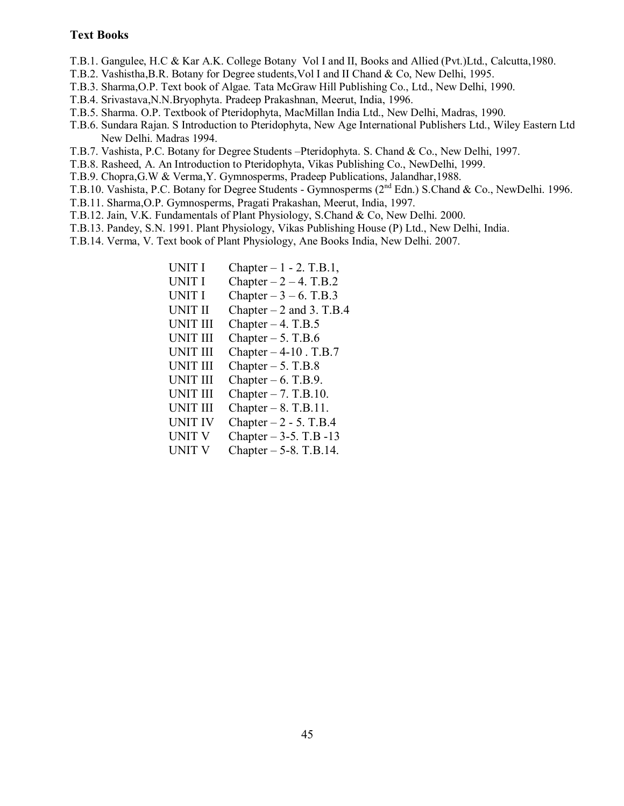### **Text Books**

- T.B.1. Gangulee, H.C & Kar A.K. College Botany Vol I and II, Books and Allied (Pvt.)Ltd., Calcutta,1980.
- T.B.2. Vashistha,B.R. Botany for Degree students,Vol I and II Chand & Co, New Delhi, 1995.
- T.B.3. Sharma,O.P. Text book of Algae. Tata McGraw Hill Publishing Co., Ltd., New Delhi, 1990.
- T.B.4. Srivastava,N.N.Bryophyta. Pradeep Prakashnan, Meerut, India, 1996.
- T.B.5. Sharma. O.P. Textbook of Pteridophyta, MacMillan India Ltd., New Delhi, Madras, 1990.
- T.B.6. Sundara Rajan. S Introduction to Pteridophyta, New Age International Publishers Ltd., Wiley Eastern Ltd., New Delhi. Madras 1994.
- T.B.7. Vashista, P.C. Botany for Degree Students –Pteridophyta. S. Chand & Co., New Delhi, 1997.
- T.B.8. Rasheed, A. An Introduction to Pteridophyta, Vikas Publishing Co., NewDelhi, 1999.
- T.B.9. Chopra,G.W & Verma,Y. Gymnosperms, Pradeep Publications, Jalandhar,1988.
- T.B.10. Vashista, P.C. Botany for Degree Students Gymnosperms (2<sup>nd</sup> Edn.) S.Chand & Co., NewDelhi. 1996.
- T.B.11. Sharma,O.P. Gymnosperms, Pragati Prakashan, Meerut, India, 1997.
- T.B.12. Jain, V.K. Fundamentals of Plant Physiology, S.Chand & Co, New Delhi. 2000.
- T.B.13. Pandey, S.N. 1991. Plant Physiology, Vikas Publishing House (P) Ltd., New Delhi, India.
- T.B.14. Verma, V. Text book of Plant Physiology, Ane Books India, New Delhi. 2007.

| Chapter $-1 - 2$ . T.B.1,  |
|----------------------------|
| Chapter $-2 - 4$ . T.B.2   |
| Chapter $-3 - 6$ . T.B.3   |
| Chapter $-2$ and 3. T.B.4  |
| Chapter $-4$ . T.B.5       |
| Chapter $-5$ . T.B.6       |
| Chapter $-4-10$ . T.B.7    |
| Chapter $-5$ . T.B.8       |
| Chapter $-6$ . T.B.9.      |
| Chapter $-7$ . T.B.10.     |
| Chapter $-8$ . T.B.11.     |
| Chapter $-2$ - 5. T.B.4    |
| Chapter $-3-5$ . T.B $-13$ |
| Chapter $-5-8$ . T.B.14.   |
|                            |